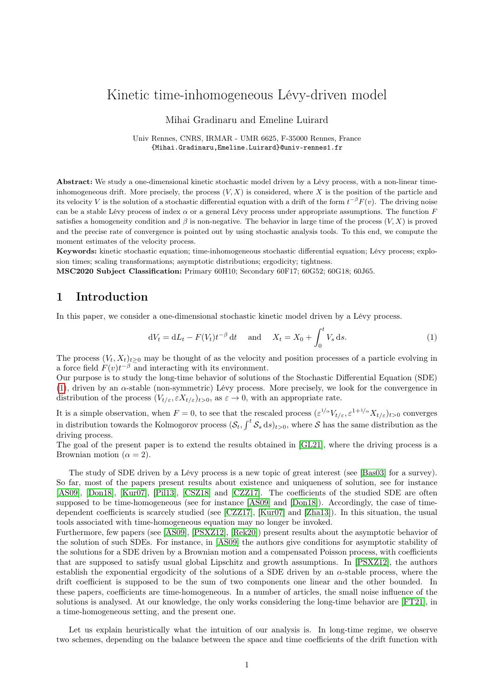# Kinetic time-inhomogeneous Lévy-driven model

Mihai Gradinaru and Emeline Luirard

Univ Rennes, CNRS, IRMAR - UMR 6625, F-35000 Rennes, France {Mihai.Gradinaru,Emeline.Luirard}@univ-rennes1.fr

Abstract: We study a one-dimensional kinetic stochastic model driven by a Lévy process, with a non-linear timeinhomogeneous drift. More precisely, the process  $(V, X)$  is considered, where X is the position of the particle and its velocity V is the solution of a stochastic differential equation with a drift of the form  $t^{-\beta}F(v)$ . The driving noise can be a stable Lévy process of index  $\alpha$  or a general Lévy process under appropriate assumptions. The function  $F$ satisfies a homogeneity condition and  $\beta$  is non-negative. The behavior in large time of the process  $(V, X)$  is proved and the precise rate of convergence is pointed out by using stochastic analysis tools. To this end, we compute the moment estimates of the velocity process.

Keywords: kinetic stochastic equation; time-inhomogeneous stochastic differential equation; Lévy process; explosion times; scaling transformations; asymptotic distributions; ergodicity; tightness.

MSC2020 Subject Classification: Primary 60H10; Secondary 60F17; 60G52; 60G18; 60J65.

# 1 Introduction

In this paper, we consider a one-dimensional stochastic kinetic model driven by a Lévy process.

<span id="page-0-0"></span>
$$
dV_t = dL_t - F(V_t)t^{-\beta} dt \quad \text{and} \quad X_t = X_0 + \int_0^t V_s ds.
$$
 (1)

The process  $(V_t, X_t)_{t\geq0}$  may be thought of as the velocity and position processes of a particle evolving in a force field  $F(v)t^{-\beta}$  and interacting with its environment.

Our purpose is to study the long-time behavior of solutions of the Stochastic Differential Equation (SDE) [\(1\)](#page-0-0), driven by an α-stable (non-symmetric) Lévy process. More precisely, we look for the convergence in distribution of the process  $(V_{t/\varepsilon}, \varepsilon X_{t/\varepsilon})_{t>0}$ , as  $\varepsilon \to 0$ , with an appropriate rate.

It is a simple observation, when  $F=0$ , to see that the rescaled process  $(\varepsilon^{1/\alpha} V_{t/\varepsilon}, \varepsilon^{1+1/\alpha} X_{t/\varepsilon})_{t>0}$  converges in distribution towards the Kolmogorov process  $(S_t, \int^t S_s ds)_{t>0}$ , where S has the same distribution as the driving process.

The goal of the present paper is to extend the results obtained in [\[GL21\]](#page-24-0), where the driving process is a Brownian motion ( $\alpha = 2$ ).

The study of SDE driven by a Lévy process is a new topic of great interest (see [\[Bas03\]](#page-24-1) for a survey). So far, most of the papers present results about existence and uniqueness of solution, see for instance [\[AS09\]](#page-24-2), [\[Don18\]](#page-24-3), [\[Kur07\]](#page-25-0), [\[Pil13\]](#page-25-1), [\[CSZ18\]](#page-24-4) and [\[CZZ17\]](#page-24-5). The coefficients of the studied SDE are often supposed to be time-homogeneous (see for instance [\[AS09\]](#page-24-2) and [\[Don18\]](#page-24-3)). Accordingly, the case of timedependent coefficients is scarcely studied (see [\[CZZ17\]](#page-24-5), [\[Kur07\]](#page-25-0) and [\[Zha13\]](#page-25-2)). In this situation, the usual tools associated with time-homogeneous equation may no longer be invoked.

Furthermore, few papers (see [\[AS09\]](#page-24-2), [\[PSXZ12\]](#page-25-3), [\[Rek20\]](#page-25-4)) present results about the asymptotic behavior of the solution of such SDEs. For instance, in [\[AS09\]](#page-24-2) the authors give conditions for asymptotic stability of the solutions for a SDE driven by a Brownian motion and a compensated Poisson process, with coefficients that are supposed to satisfy usual global Lipschitz and growth assumptions. In [\[PSXZ12\]](#page-25-3), the authors establish the exponential ergodicity of the solutions of a SDE driven by an  $\alpha$ -stable process, where the drift coefficient is supposed to be the sum of two components one linear and the other bounded. In these papers, coefficients are time-homogeneous. In a number of articles, the small noise influence of the solutions is analysed. At our knowledge, the only works considering the long-time behavior are [\[FT21\]](#page-24-6), in a time-homogeneous setting, and the present one.

Let us explain heuristically what the intuition of our analysis is. In long-time regime, we observe two schemes, depending on the balance between the space and time coefficients of the drift function with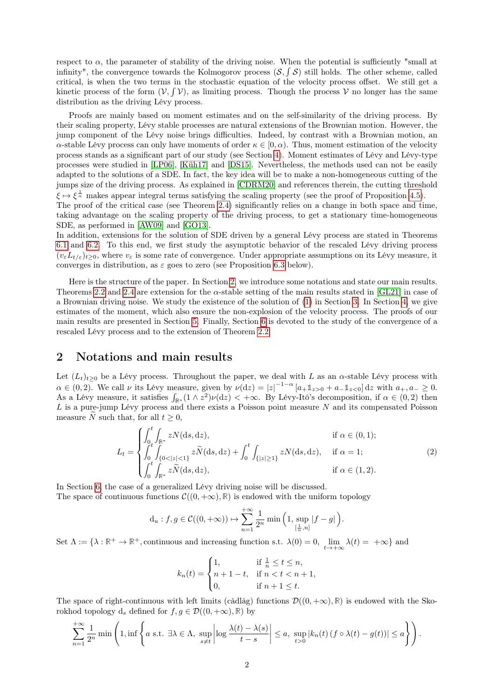respect to  $\alpha$ , the parameter of stability of the driving noise. When the potential is sufficiently "small at infinity", the convergence towards the Kolmogorov process  $(S, \int S)$  still holds. The other scheme, called critical, is when the two terms in the stochastic equation of the velocity process offset. We still get a kinetic process of the form  $(V, \int V)$ , as limiting process. Though the process V no longer has the same distribution as the driving Lévy process.

Proofs are mainly based on moment estimates and on the self-similarity of the driving process. By their scaling property, Lévy stable processes are natural extensions of the Brownian motion. However, the jump component of the Lévy noise brings difficulties. Indeed, by contrast with a Brownian motion, an  $\alpha$ -stable Lévy process can only have moments of order  $\kappa \in [0, \alpha)$ . Thus, moment estimation of the velocity process stands as a significant part of our study (see Section [4\)](#page-3-0). Moment estimates of Lévy and Lévy-type processes were studied in [\[LP06\]](#page-25-5), [\[Küh17\]](#page-25-6) and [\[DS15\]](#page-24-7). Nevertheless, the methods used can not be easily adapted to the solutions of a SDE. In fact, the key idea will be to make a non-homogeneous cutting of the jumps size of the driving process. As explained in [\[CDRM20\]](#page-24-8) and references therein, the cutting threshold  $\xi \mapsto \xi^{\frac{1}{\alpha}}$  makes appear integral terms satisfying the scaling property (see the proof of Proposition [4.5\)](#page-5-0). The proof of the critical case (see Theorem [2.4\)](#page-2-0) significantly relies on a change in both space and time,

taking advantage on the scaling property of the driving process, to get a stationary time-homogeneous SDE, as performed in [\[AW09\]](#page-24-9) and [\[GO13\]](#page-24-10).

In addition, extensions for the solution of SDE driven by a general Lévy process are stated in Theorems [6.1](#page-12-0) and [6.2.](#page-13-0) To this end, we first study the asymptotic behavior of the rescaled Lévy driving process  $(v<sub>\varepsilon</sub>L<sub>t/\varepsilon</sub>)_{t\geq 0}$ , where  $v<sub>\varepsilon</sub>$  is some rate of convergence. Under appropriate assumptions on its Lévy measure, it converges in distribution, as  $\varepsilon$  goes to zero (see Proposition [6.3](#page-13-1) below).

Here is the structure of the paper. In Section [2,](#page-1-0) we introduce some notations and state our main results. Theorems [2.2](#page-2-1) and [2.4](#page-2-0) are extension for the  $\alpha$ -stable setting of the main results stated in [\[GL21\]](#page-24-0) in case of a Brownian driving noise. We study the existence of the solution of [\(1\)](#page-0-0) in Section [3.](#page-3-1) In Section [4,](#page-3-0) we give estimates of the moment, which also ensure the non-explosion of the velocity process. The proofs of our main results are presented in Section [5.](#page-8-0) Finally, Section [6](#page-12-1) is devoted to the study of the convergence of a rescaled Lévy process and to the extension of Theorem [2.2.](#page-2-1)

# <span id="page-1-0"></span>2 Notations and main results

Let  $(L_t)_{t>0}$  be a Lévy process. Throughout the paper, we deal with L as an  $\alpha$ -stable Lévy process with  $\alpha \in (0, 2)$ . We call v its Lévy measure, given by  $\nu(\mathrm{d}z) = |z|^{-1-\alpha} [a_+ \mathbb{1}_{z>0} + a_- \mathbb{1}_{z<0}] \,\mathrm{d}z$  with  $a_+, a_- \geq 0$ . As a Lévy measure, it satisfies  $\int_{\mathbb{R}^*} (1 \wedge z^2) \nu(\mathrm{d}z) < +\infty$ . By Lévy-Itô's decomposition, if  $\alpha \in (0, 2)$  then  $L$  is a pure-jump Lévy process and there exists a Poisson point measure  $N$  and its compensated Poisson measure N such that, for all  $t \geq 0$ ,

$$
L_{t} = \begin{cases} \int_{0}^{t} \int_{\mathbb{R}^{*}} zN(\mathrm{d}s, \mathrm{d}z), & \text{if } \alpha \in (0, 1); \\ \int_{0}^{t} \int_{\{0 < |z| < 1\}} z\widetilde{N}(\mathrm{d}s, \mathrm{d}z) + \int_{0}^{t} \int_{\{|z| \ge 1\}} zN(\mathrm{d}s, \mathrm{d}z), & \text{if } \alpha = 1; \\ \int_{0}^{t} \int_{\mathbb{R}^{*}} z\widetilde{N}(\mathrm{d}s, \mathrm{d}z), & \text{if } \alpha \in (1, 2). \end{cases} \tag{2}
$$

In Section [6,](#page-12-1) the case of a generalized Lévy driving noise will be discussed. The space of continuous functions  $\mathcal{C}((0, +\infty), \mathbb{R})$  is endowed with the uniform topology

$$
d_u: f, g \in \mathcal{C}((0, +\infty)) \mapsto \sum_{n=1}^{+\infty} \frac{1}{2^n} \min\left(1, \sup_{[\frac{1}{n}, n]} |f - g|\right).
$$

Set  $\Lambda := \{\lambda : \mathbb{R}^+ \to \mathbb{R}^+,$  continuous and increasing function s.t.  $\lambda(0) = 0$ ,  $\lim_{t \to +\infty} \lambda(t) = +\infty\}$  and

$$
k_n(t) = \begin{cases} 1, & \text{if } \frac{1}{n} \le t \le n, \\ n+1-t, & \text{if } n < t < n+1, \\ 0, & \text{if } n+1 \le t. \end{cases}
$$

The space of right-continuous with left limits (càdlàg) functions  $\mathcal{D}((0, +\infty), \mathbb{R})$  is endowed with the Skorokhod topology  $d_s$  defined for  $f, g \in \mathcal{D}((0, +\infty), \mathbb{R})$  by

$$
\sum_{n=1}^{+\infty} \frac{1}{2^n} \min\left(1, \inf\left\{a \text{ s.t. } \exists \lambda \in \Lambda, \sup_{s \neq t} \left| \log \frac{\lambda(t) - \lambda(s)}{t - s} \right| \leq a, \sup_{t > 0} |k_n(t) (f \circ \lambda(t) - g(t))| \leq a \right\} \right).
$$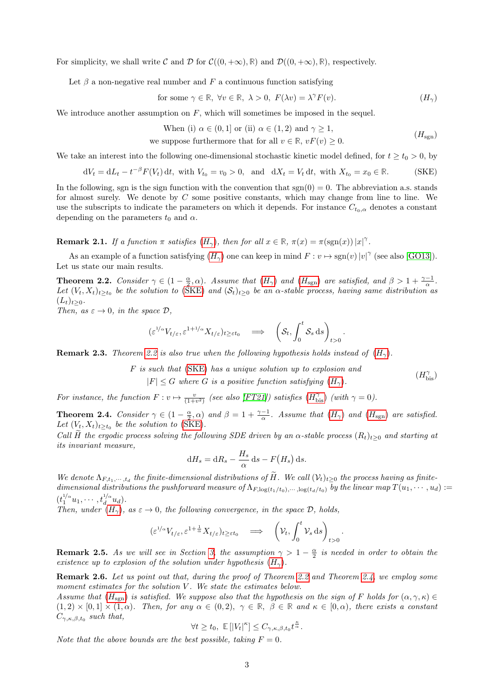For simplicity, we shall write C and D for  $C((0, +\infty), \mathbb{R})$  and  $\mathcal{D}((0, +\infty), \mathbb{R})$ , respectively.

Let  $\beta$  a non-negative real number and F a continuous function satisfying

for some 
$$
\gamma \in \mathbb{R}
$$
,  $\forall v \in \mathbb{R}$ ,  $\lambda > 0$ ,  $F(\lambda v) = \lambda^{\gamma} F(v)$ .  $(H_{\gamma})$ 

We introduce another assumption on  $F$ , which will sometimes be imposed in the sequel.

When (i) 
$$
\alpha \in (0, 1]
$$
 or (ii)  $\alpha \in (1, 2)$  and  $\gamma \ge 1$ ,  
we suppose furthermore that for all  $v \in \mathbb{R}$ ,  $vF(v) \ge 0$ . (H<sub>sgn</sub>)

We take an interest into the following one-dimensional stochastic kinetic model defined, for  $t \geq t_0 > 0$ , by

$$
dV_t = dL_t - t^{-\beta} F(V_t) dt, \text{ with } V_{t_0} = v_0 > 0, \text{ and } dX_t = V_t dt, \text{ with } X_{t_0} = x_0 \in \mathbb{R}.
$$
 (SKE)

In the following, sgn is the sign function with the convention that  $sgn(0) = 0$ . The abbreviation a.s. stands for almost surely. We denote by  $C$  some positive constants, which may change from line to line. We use the subscripts to indicate the parameters on which it depends. For instance  $C_{t_0,\alpha}$  denotes a constant depending on the parameters  $t_0$  and  $\alpha$ .

**Remark 2.1.** If a function  $\pi$  satisfies  $(H_{\gamma})$  $(H_{\gamma})$  $(H_{\gamma})$ , then for all  $x \in \mathbb{R}$ ,  $\pi(x) = \pi(\text{sgn}(x)) |x|^{\gamma}$ .

As an example of a function satisfying  $(H_{\gamma})$  $(H_{\gamma})$  $(H_{\gamma})$  one can keep in mind  $F: v \mapsto \text{sgn}(v)|v|^{\gamma}$  (see also [\[GO13\]](#page-24-10)). Let us state our main results.

<span id="page-2-1"></span>**Theorem 2.2.** Consider  $\gamma \in (1 - \frac{\alpha}{2}, \alpha)$ . Assume that  $(H_{\gamma})$  $(H_{\gamma})$  $(H_{\gamma})$  and  $(H_{sgn})$  are satisfied, and  $\beta > 1 + \frac{\gamma - 1}{\alpha}$ . Let  $(V_t, X_t)_{t\geq t_0}$  be the solution to [\(SKE\)](#page-2-4) and  $(S_t)_{t\geq 0}$  be an  $\alpha$ -stable process, having same distribution as  $(L_t)_{t>0}.$ 

Then, as  $\varepsilon \to 0$ , in the space  $\mathcal{D}$ ,

$$
(\varepsilon^{1/\alpha} V_{t/\varepsilon}, \varepsilon^{1+1/\alpha} X_{t/\varepsilon})_{t \geq \varepsilon t_0} \quad \Longrightarrow \quad \left( \mathcal{S}_t, \int_0^t \mathcal{S}_s \, \mathrm{d}s \right)_{t > 0}
$$

**Remark 2.3.** Theorem [2.2](#page-2-1) is also true when the following hypothesis holds instead of  $(H_{\gamma})$  $(H_{\gamma})$  $(H_{\gamma})$ .

F is such that [\(SKE\)](#page-2-4) has a unique solution up to explosion and  $|F| \leq G$  where G is a positive function satisfying  $(H_{\gamma}).$  $(H_{\gamma}).$  $(H_{\gamma}).$  $(H_{\mathrm{bis}}^{\gamma})$ 

<span id="page-2-5"></span><span id="page-2-4"></span><span id="page-2-3"></span><span id="page-2-2"></span>.

.

For instance, the function  $F: v \mapsto \frac{v}{(1+v^2)}$  (see also [\[FT21\]](#page-24-6)) satisfies  $(H_{\text{bis}}^{\gamma})$  $(H_{\text{bis}}^{\gamma})$  $(H_{\text{bis}}^{\gamma})$  (with  $\gamma = 0$ ).

<span id="page-2-0"></span>**Theorem 2.4.** Consider  $\gamma \in (1 - \frac{\alpha}{2}, \alpha)$  and  $\beta = 1 + \frac{\gamma - 1}{\alpha}$ . Assume that  $(H_{\gamma})$  $(H_{\gamma})$  $(H_{\gamma})$  and  $(H_{sgn})$  are satisfied. Let  $(V_t, X_t)_{t \geq t_0}$  be the solution to [\(SKE\)](#page-2-4).

Call H the ergodic process solving the following SDE driven by an  $\alpha$ -stable process  $(R_t)_{t\geq0}$  and starting at its invariant measure,

$$
dH_s = dR_s - \frac{H_s}{\alpha} ds - F(H_s) ds.
$$

We denote  $\Lambda_{F,t_1,\dots,t_d}$  the finite-dimensional distributions of H. We call  $(\mathcal{V}_t)_{t\geq0}$  the process having as finitedimensional distributions the pushforward measure of  $\Lambda_{F, \log(t_1/t_0),\cdots, \log(t_d/t_0)}$  by the linear map  $T(u_1, \cdots, u_d) :=$  $(t_1^{1/\alpha} u_1, \cdots, t_d^{1/\alpha})$  $\frac{d}{d}^{\alpha} u_d$ ).

Then, under  $(H_{\gamma})$  $(H_{\gamma})$  $(H_{\gamma})$ , as  $\varepsilon \to 0$ , the following convergence, in the space  $\mathcal{D}$ , holds,

$$
(\varepsilon^{1/\alpha} V_{t/\varepsilon}, \varepsilon^{1+\frac{1}{\alpha}} X_{t/\varepsilon})_{t \geq \varepsilon t_0} \quad \Longrightarrow \quad \left( \mathcal{V}_t, \int_0^t \mathcal{V}_s \, \mathrm{d}s \right)_{t > 0}
$$

**Remark 2.5.** As we will see in Section [3,](#page-3-1) the assumption  $\gamma > 1 - \frac{\alpha}{2}$  is needed in order to obtain the existence up to explosion of the solution under hypothesis  $(H_{\gamma})$  $(H_{\gamma})$  $(H_{\gamma})$ .

<span id="page-2-6"></span>Remark 2.6. Let us point out that, during the proof of Theorem [2.2](#page-2-1) and Theorem [2.4,](#page-2-0) we employ some moment estimates for the solution  $V$ . We state the estimates below.

Assume that  $(H_{sgn})$  $(H_{sgn})$  $(H_{sgn})$  is satisfied. We suppose also that the hypothesis on the sign of F holds for  $(\alpha, \gamma, \kappa) \in$  $(1, 2) \times [0, 1] \times (1, \alpha)$ . Then, for any  $\alpha \in (0, 2)$ ,  $\gamma \in \mathbb{R}$ ,  $\beta \in \mathbb{R}$  and  $\kappa \in [0, \alpha)$ , there exists a constant  $C_{\gamma,\kappa,\beta,t_0}$  such that,

$$
\forall t \ge t_0, \ \mathbb{E}\left[|V_t|^{\kappa}\right] \le C_{\gamma,\kappa,\beta,t_0} t^{\frac{\kappa}{\alpha}}.
$$

Note that the above bounds are the best possible, taking  $F = 0$ .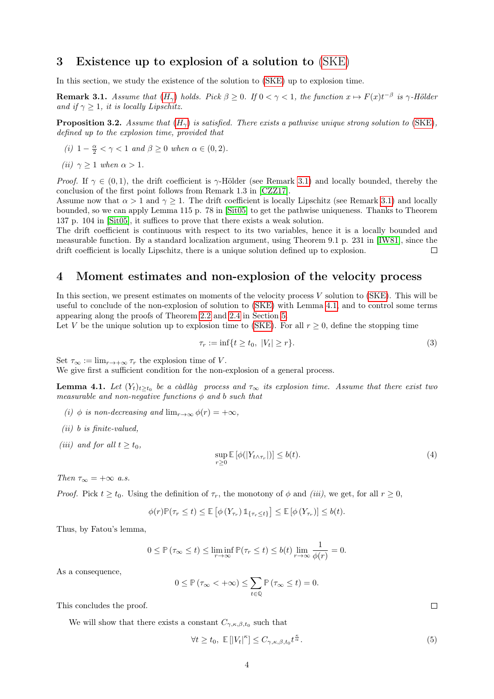# <span id="page-3-1"></span>3 Existence up to explosion of a solution to [\(SKE\)](#page-2-4)

In this section, we study the existence of the solution to [\(SKE\)](#page-2-4) up to explosion time.

<span id="page-3-2"></span>**Remark 3.1.** Assume that  $(H_\gamma)$  $(H_\gamma)$  $(H_\gamma)$  holds. Pick  $\beta \geq 0$ . If  $0 < \gamma < 1$ , the function  $x \mapsto F(x)t^{-\beta}$  is  $\gamma$ -Hölder and if  $\gamma \geq 1$ , it is locally Lipschitz.

<span id="page-3-5"></span>**Proposition 3.2.** Assume that  $(H_{\gamma})$  $(H_{\gamma})$  $(H_{\gamma})$  is satisfied. There exists a pathwise unique strong solution to [\(SKE\)](#page-2-4), defined up to the explosion time, provided that

- (i)  $1 \frac{\alpha}{2} < \gamma < 1$  and  $\beta \ge 0$  when  $\alpha \in (0, 2)$ .
- (ii)  $\gamma > 1$  when  $\alpha > 1$ .

*Proof.* If  $\gamma \in (0,1)$ , the drift coefficient is  $\gamma$ -Hölder (see Remark [3.1\)](#page-3-2) and locally bounded, thereby the conclusion of the first point follows from Remark 1.3 in [\[CZZ17\]](#page-24-5).

Assume now that  $\alpha > 1$  and  $\gamma \geq 1$ . The drift coefficient is locally Lipschitz (see Remark [3.1\)](#page-3-2) and locally bounded, so we can apply Lemma 115 p. 78 in [\[Sit05\]](#page-25-7) to get the pathwise uniqueness. Thanks to Theorem 137 p. 104 in [\[Sit05\]](#page-25-7), it suffices to prove that there exists a weak solution.

The drift coefficient is continuous with respect to its two variables, hence it is a locally bounded and measurable function. By a standard localization argument, using Theorem 9.1 p. 231 in [\[IW81\]](#page-25-8), since the drift coefficient is locally Lipschitz, there is a unique solution defined up to explosion.  $\Box$ 

## <span id="page-3-0"></span>4 Moment estimates and non-explosion of the velocity process

In this section, we present estimates on moments of the velocity process  $V$  solution to [\(SKE\)](#page-2-4). This will be useful to conclude of the non-explosion of solution to [\(SKE\)](#page-2-4) with Lemma [4.1,](#page-3-3) and to control some terms appearing along the proofs of Theorem [2.2](#page-2-1) and [2.4](#page-2-0) in Section [5.](#page-8-0)

Let V be the unique solution up to explosion time to [\(SKE\)](#page-2-4). For all  $r > 0$ , define the stopping time

<span id="page-3-4"></span>
$$
\tau_r := \inf\{t \ge t_0, \ |V_t| \ge r\}.\tag{3}
$$

Set  $\tau_{\infty} := \lim_{r \to +\infty} \tau_r$  the explosion time of V.

<span id="page-3-3"></span>We give first a sufficient condition for the non-explosion of a general process.

**Lemma 4.1.** Let  $(Y_t)_{t\geq t_0}$  be a càdlàg process and  $\tau_{\infty}$  its explosion time. Assume that there exist two measurable and non-negative functions  $\phi$  and b such that

- (i)  $\phi$  is non-decreasing and  $\lim_{r\to\infty} \phi(r) = +\infty$ ,
- $(ii)$  b is finite-valued.
- (iii) and for all  $t > t_0$ ,

$$
\sup_{r\geq 0} \mathbb{E}\left[\phi(|Y_{t\wedge\tau_r}|)\right] \leq b(t). \tag{4}
$$

Then  $\tau_{\infty} = +\infty$  a.s.

*Proof.* Pick  $t \geq t_0$ . Using the definition of  $\tau_r$ , the monotony of  $\phi$  and *(iii)*, we get, for all  $r \geq 0$ ,

$$
\phi(r)\mathbb{P}(\tau_r \leq t) \leq \mathbb{E}\left[\phi\left(Y_{\tau_r}\right)\mathbb{1}_{\{\tau_r \leq t\}}\right] \leq \mathbb{E}\left[\phi\left(Y_{\tau_r}\right)\right] \leq b(t).
$$

Thus, by Fatou's lemma,

$$
0 \leq \mathbb{P}\left(\tau_{\infty} \leq t\right) \leq \liminf_{r \to \infty} \mathbb{P}(\tau_r \leq t) \leq b(t) \lim_{r \to \infty} \frac{1}{\phi(r)} = 0.
$$

As a consequence,

$$
0 \leq \mathbb{P}\left(\tau_{\infty} < +\infty\right) \leq \sum_{t \in \mathbb{Q}} \mathbb{P}\left(\tau_{\infty} \leq t\right) = 0.
$$

This concludes the proof.

<span id="page-3-6"></span>We will show that there exists a constant  $C_{\gamma,\kappa,\beta,t_0}$  such that

$$
\forall t \ge t_0, \ \mathbb{E}\left[|V_t|^{\kappa}\right] \le C_{\gamma,\kappa,\beta,t_0} t^{\frac{\kappa}{\alpha}}.\tag{5}
$$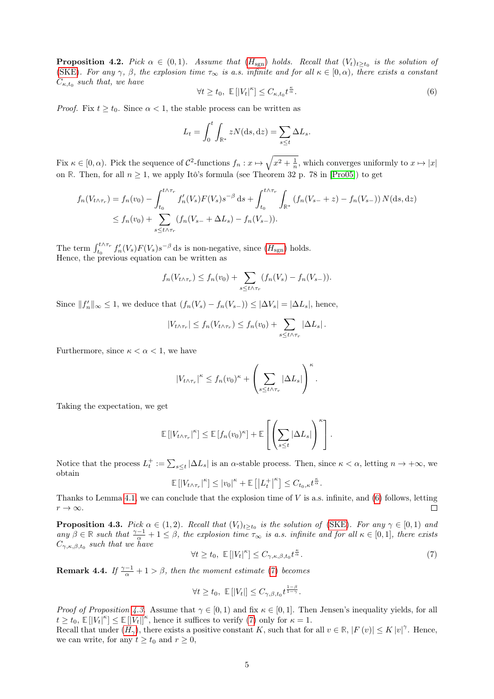**Proposition 4.2.** Pick  $\alpha \in (0,1)$ . Assume that  $(H_{sgn})$  $(H_{sgn})$  $(H_{sgn})$  holds. Recall that  $(V_t)_{t\geq t_0}$  is the solution of [\(SKE\)](#page-2-4). For any  $\gamma$ ,  $\beta$ , the explosion time  $\tau_{\infty}$  is a.s. infinite and for all  $\kappa \in [0, \alpha)$ , there exists a constant  $C_{\kappa,t_0}$  such that, we have

<span id="page-4-0"></span>
$$
\forall t \ge t_0, \ \mathbb{E}\left[|V_t|^{\kappa}\right] \le C_{\kappa, t_0} t^{\frac{\kappa}{\alpha}}.\tag{6}
$$

*Proof.* Fix  $t \geq t_0$ . Since  $\alpha < 1$ , the stable process can be written as

$$
L_t = \int_0^t \int_{\mathbb{R}^*} zN(\mathrm{d}s, \mathrm{d}z) = \sum_{s \le t} \Delta L_s.
$$

Fix  $\kappa \in [0, \alpha)$ . Pick the sequence of  $\mathcal{C}^2$ -functions  $f_n: x \mapsto \sqrt{x^2 + \frac{1}{n}}$ , which converges uniformly to  $x \mapsto |x|$ on **R**. Then, for all  $n \geq 1$ , we apply Itô's formula (see Theorem 32 p. 78 in [\[Pro05\]](#page-25-9)) to get

$$
f_n(V_{t \wedge \tau_r}) = f_n(v_0) - \int_{t_0}^{t \wedge \tau_r} f'_n(V_s) F(V_s) s^{-\beta} ds + \int_{t_0}^{t \wedge \tau_r} \int_{\mathbb{R}^*} (f_n(V_{s-} + z) - f_n(V_{s-})) N(ds, dz)
$$
  

$$
\leq f_n(v_0) + \sum_{s \leq t \wedge \tau_r} (f_n(V_{s-} + \Delta L_s) - f_n(V_{s-})).
$$

The term  $\int_{t_0}^{t \wedge \tau_r} f'_n(V_s) F(V_s) s^{-\beta} ds$  is non-negative, since  $(H_{sgn})$  $(H_{sgn})$  $(H_{sgn})$  holds. Hence, the previous equation can be written as

$$
f_n(V_{t \wedge \tau_r}) \le f_n(v_0) + \sum_{s \le t \wedge \tau_r} (f_n(V_s) - f_n(V_{s-})).
$$

Since  $||f'_n||_{\infty} \leq 1$ , we deduce that  $(f_n(V_s) - f_n(V_{s-})) \leq |\Delta V_s| = |\Delta L_s|$ , hence,

$$
|V_{t \wedge \tau_r}| \le f_n(V_{t \wedge \tau_r}) \le f_n(v_0) + \sum_{s \le t \wedge \tau_r} |\Delta L_s|.
$$

Furthermore, since  $\kappa < \alpha < 1$ , we have

$$
|V_{t\wedge\tau_r}|^{\kappa} \leq f_n(v_0)^{\kappa} + \left(\sum_{s\leq t\wedge\tau_r}|\Delta L_s|\right)^{\kappa}.
$$

Taking the expectation, we get

$$
\mathbb{E}\left[|V_{t\wedge\tau_r}|^{\kappa}\right] \leq \mathbb{E}\left[f_n(v_0)^{\kappa}\right] + \mathbb{E}\left[\left(\sum_{s\leq t}|\Delta L_s|\right)^{\kappa}\right].
$$

Notice that the process  $L_t^+ := \sum_{s\leq t} |\Delta L_s|$  is an  $\alpha$ -stable process. Then, since  $\kappa < \alpha$ , letting  $n \to +\infty$ , we obtain

$$
\mathbb{E}\left[\left|V_{t\wedge\tau_r}\right|^{\kappa}\right]\leq\left|v_0\right|^{\kappa}+\mathbb{E}\left[\left|L_t^{+}\right|^{\kappa}\right]\leq C_{t_0,\kappa}t^{\frac{\kappa}{\alpha}}.
$$

Thanks to Lemma [4.1,](#page-3-3) we can conclude that the explosion time of  $V$  is a.s. infinite, and  $(6)$  follows, letting  $r \to \infty$ .  $\Box$ 

<span id="page-4-2"></span>**Proposition 4.3.** Pick  $\alpha \in (1,2)$ . Recall that  $(V_t)_{t\geq t_0}$  is the solution of [\(SKE\)](#page-2-4). For any  $\gamma \in [0,1)$  and any  $\beta \in \mathbb{R}$  such that  $\frac{\gamma-1}{\alpha}+1 \leq \beta$ , the explosion time  $\tau_{\infty}$  is a.s. infinite and for all  $\kappa \in [0,1]$ , there exists  $C_{\gamma,\kappa,\beta,t_0}$  such that we have<br>  $\forall t > t$   $\mathbb{E}[\mathbf{W}^{k}] < C$   $t^{\frac{\kappa}{2}}$ 

<span id="page-4-1"></span>
$$
\forall t \ge t_0, \ \mathbb{E}\left[|V_t|^{\kappa}\right] \le C_{\gamma,\kappa,\beta,t_0} t^{\frac{\kappa}{\alpha}}.\tag{7}
$$

**Remark 4.4.** If  $\frac{\gamma-1}{\alpha}+1>\beta$ , then the moment estimate [\(7\)](#page-4-1) becomes

$$
\forall t \ge t_0, \ \mathbb{E}\left[|V_t|\right] \le C_{\gamma,\beta,t_0} t^{\frac{1-\beta}{1-\gamma}}.
$$

*Proof of Proposition [4.3.](#page-4-2)* Assume that  $\gamma \in [0,1)$  and fix  $\kappa \in [0,1]$ . Then Jensen's inequality yields, for all  $t \geq t_0, \mathbb{E}[|V_t|^{\kappa}] \leq \mathbb{E}[|V_t|]^{\kappa}$ , hence it suffices to verify [\(7\)](#page-4-1) only for  $\kappa = 1$ .

Recall that under  $(H_\gamma)$  $(H_\gamma)$  $(H_\gamma)$ , there exists a positive constant K, such that for all  $v \in \mathbb{R}$ ,  $|F(v)| \le K |v|^\gamma$ . Hence, we can write, for any  $t \ge t_0$  and  $r \ge 0$ ,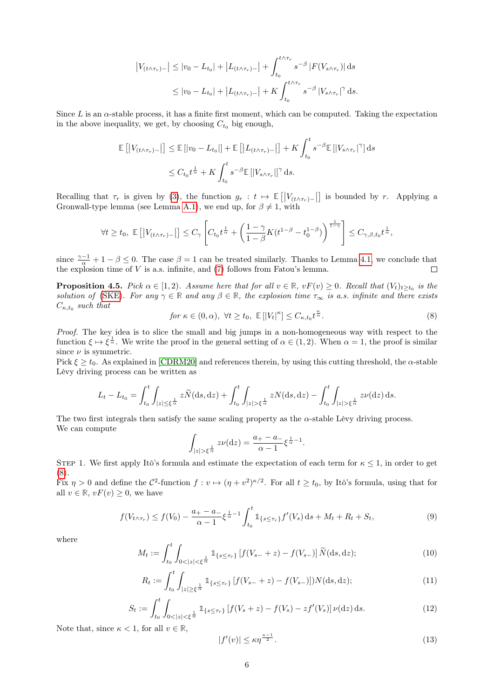$$
\left|V_{(t \wedge \tau_r)}\right| \le |v_0 - L_{t_0}| + \left|L_{(t \wedge \tau_r)}\right| + \int_{t_0}^{t \wedge \tau_r} s^{-\beta} \left|F(V_{s \wedge \tau_r})\right| ds
$$
  

$$
\le |v_0 - L_{t_0}| + \left|L_{(t \wedge \tau_r)}\right| + K \int_{t_0}^{t \wedge \tau_r} s^{-\beta} \left|V_{s \wedge \tau_r}\right|^\gamma ds.
$$

Since  $L$  is an  $\alpha$ -stable process, it has a finite first moment, which can be computed. Taking the expectation in the above inequality, we get, by choosing  $C_{t_0}$  big enough,

$$
\mathbb{E}\left[\left|V_{(t\wedge\tau_r)-}\right|\right] \leq \mathbb{E}\left[\left|v_0 - L_{t_0}\right|\right] + \mathbb{E}\left[\left|L_{(t\wedge\tau_r)-}\right|\right] + K \int_{t_0}^t s^{-\beta} \mathbb{E}\left[\left|V_{s\wedge\tau_r}\right|^{\gamma}\right] ds
$$
  

$$
\leq C_{t_0} t^{\frac{1}{\alpha}} + K \int_{t_0}^t s^{-\beta} \mathbb{E}\left[\left|V_{s\wedge\tau_r}\right|\right]^{\gamma} ds.
$$

Recalling that  $\tau_r$  is given by [\(3\)](#page-3-4), the function  $g_r : t \mapsto \mathbb{E}[|V_{(t \wedge \tau_r)-}|]$  is bounded by r. Applying a Gronwall-type lemma (see Lemma [A.1\)](#page-21-0), we end up, for  $\beta \neq 1$ , with

$$
\forall t \geq t_0, \ \mathbb{E}\left[\left|V_{(t \wedge \tau_r)}\right| \right] \leq C_{\gamma} \left[C_{t_0} t^{\frac{1}{\alpha}} + \left(\frac{1-\gamma}{1-\beta} K(t^{1-\beta} - t_0^{1-\beta})\right)^{\frac{1}{1-\gamma}}\right] \leq C_{\gamma,\beta,t_0} t^{\frac{1}{\alpha}},
$$

since  $\frac{\gamma-1}{\alpha}+1-\beta\leq 0$ . The case  $\beta=1$  can be treated similarly. Thanks to Lemma [4.1,](#page-3-3) we conclude that the explosion time of  $V$  is a.s. infinite, and  $(7)$  follows from Fatou's lemma.

<span id="page-5-0"></span>**Proposition 4.5.** Pick  $\alpha \in [1, 2)$ . Assume here that for all  $v \in \mathbb{R}$ ,  $vF(v) \ge 0$ . Recall that  $(V_t)_{t \ge t_0}$  is the solution of [\(SKE\)](#page-2-4). For any  $\gamma \in \mathbb{R}$  and any  $\beta \in \mathbb{R}$ , the explosion time  $\tau_{\infty}$  is a.s. infinite and there exists  $C_{\kappa,t_0}$  such that

<span id="page-5-1"></span>
$$
for \ \kappa \in (0, \alpha), \ \forall t \ge t_0, \ \mathbb{E}\left[|V_t|^{\kappa}\right] \le C_{\kappa, t_0} t^{\frac{\kappa}{\alpha}}.
$$

Proof. The key idea is to slice the small and big jumps in a non-homogeneous way with respect to the function  $\xi \mapsto \xi^{\frac{1}{\alpha}}$ . We write the proof in the general setting of  $\alpha \in (1, 2)$ . When  $\alpha = 1$ , the proof is similar since  $\nu$  is symmetric.

Pick  $\xi \geq t_0$ . As explained in [\[CDRM20\]](#page-24-8) and references therein, by using this cutting threshold, the  $\alpha$ -stable Lévy driving process can be written as

$$
L_t - L_{t_0} = \int_{t_0}^t \int_{|z| \le \xi^{\frac{1}{\alpha}}} z \widetilde{N}(\mathrm{d}s, \mathrm{d}z) + \int_{t_0}^t \int_{|z| > \xi^{\frac{1}{\alpha}}} z N(\mathrm{d}s, \mathrm{d}z) - \int_{t_0}^t \int_{|z| > \xi^{\frac{1}{\alpha}}} z \nu(\mathrm{d}z) \, \mathrm{d}s.
$$

The two first integrals then satisfy the same scaling property as the  $\alpha$ -stable Lévy driving process. We can compute

$$
\int_{|z| > \xi^{\frac{1}{\alpha}}} z \nu(\mathrm{d} z) = \frac{a_+ - a_-}{\alpha - 1} \xi^{\frac{1}{\alpha} - 1}.
$$

STEP 1. We first apply Itô's formula and estimate the expectation of each term for  $\kappa \leq 1$ , in order to get [\(8\)](#page-5-1).

Fix  $\eta > 0$  and define the  $\mathcal{C}^2$ -function  $f: v \mapsto (\eta + v^2)^{\kappa/2}$ . For all  $t \ge t_0$ , by Itô's formula, using that for all  $v \in \mathbb{R}$ ,  $vF(v) \geq 0$ , we have

<span id="page-5-5"></span>
$$
f(V_{t \wedge \tau_r}) \le f(V_0) - \frac{a_+ - a_-}{\alpha - 1} \xi^{\frac{1}{\alpha} - 1} \int_{t_0}^t \mathbb{1}_{\{s \le \tau_r\}} f'(V_s) \, ds + M_t + R_t + S_t,
$$
\n<sup>(9)</sup>

where

$$
M_t := \int_{t_0}^t \int_{0 < |z| < \xi^{\frac{1}{\alpha}}} \mathbb{1}_{\{s \le \tau_r\}} \left[ f(V_{s-} + z) - f(V_{s-}) \right] \widetilde{N}(\mathrm{d}s, \mathrm{d}z); \tag{10}
$$

<span id="page-5-3"></span>
$$
R_t := \int_{t_0}^t \int_{|z| \ge \xi^{\frac{1}{\alpha}}} \mathbb{1}_{\{s \le \tau_r\}} \left[ f(V_{s-} + z) - f(V_{s-}) \right] N(\mathrm{d}s, \mathrm{d}z); \tag{11}
$$

<span id="page-5-2"></span>
$$
S_t := \int_{t_0}^t \int_{0 < |z| < \xi^{\frac{1}{\alpha}}} \mathbb{1}_{\{s \le \tau_r\}} \left[ f(V_s + z) - f(V_s) - z f'(V_s) \right] \nu(\mathrm{d}z) \, \mathrm{d}s. \tag{12}
$$

Note that, since  $\kappa < 1$ , for all  $v \in \mathbb{R}$ ,

<span id="page-5-4"></span>
$$
|f'(v)| \le \kappa \eta^{\frac{\kappa - 1}{2}}.\tag{13}
$$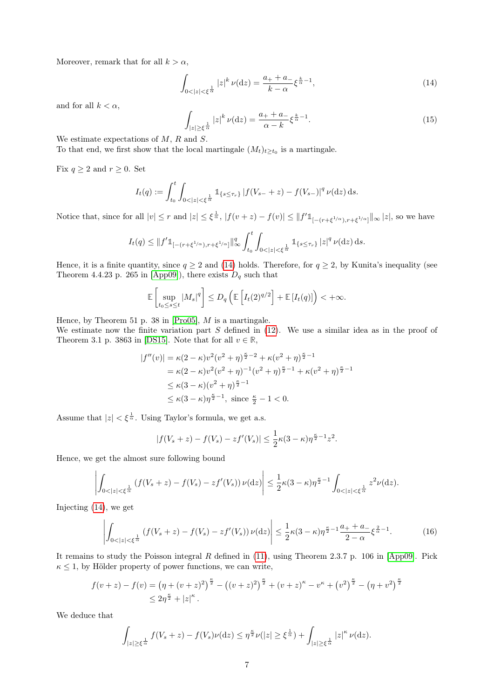Moreover, remark that for all  $k > \alpha$ ,

<span id="page-6-0"></span>
$$
\int_{0<|z|<\frac{1}{\alpha}}|z|^k \,\nu(\mathrm{d}z) = \frac{a_+ + a_-}{k - \alpha} \xi^{\frac{k}{\alpha} - 1},\tag{14}
$$

and for all  $k < \alpha$ .

<span id="page-6-1"></span>
$$
\int_{|z| \ge \xi^{\frac{1}{\alpha}}} |z|^k \, \nu(\mathrm{d}z) = \frac{a_+ + a_-}{\alpha - k} \xi^{\frac{k}{\alpha} - 1}.\tag{15}
$$

We estimate expectations of M, R and S.

To that end, we first show that the local martingale  $(M_t)_{t\geq t_0}$  is a martingale.

Fix  $q \ge 2$  and  $r \ge 0$ . Set

$$
I_t(q) := \int_{t_0}^t \int_{0 < |z| < \xi^{\frac{1}{\alpha}}} \mathbb{1}_{\{s \leq \tau_r\}} |f(V_{s-} + z) - f(V_{s-})|^q \nu(\mathrm{d}z) \, \mathrm{d}s.
$$

Notice that, since for all  $|v| \leq r$  and  $|z| \leq \xi^{\frac{1}{\alpha}}$ ,  $|f(v+z) - f(v)| \leq ||f'1_{[-(r+\xi^{1/\alpha}),r+\xi^{1/\alpha}]}||_{\infty} |z|$ , so we have

$$
I_t(q) \leq ||f'1_{[-(r+\xi^{1/\alpha}),r+\xi^{1/\alpha}]}||_{\infty}^q \int_{t_0}^t \int_{0<|z|<\xi^{\frac{1}{\alpha}}} 1_{\{s \leq \tau_r\}} |z|^{q} \nu(\mathrm{d}z) \, \mathrm{d}s.
$$

Hence, it is a finite quantity, since  $q \ge 2$  and [\(14\)](#page-6-0) holds. Therefore, for  $q \ge 2$ , by Kunita's inequality (see Theorem 4.4.23 p. 265 in [\[App09\]](#page-24-11)), there exists  $D_q$  such that

$$
\mathbb{E}\left[\sup_{t_0\leq s\leq t}|M_s|^q\right]\leq D_q\left(\mathbb{E}\left[I_t(2)^{q/2}\right]+\mathbb{E}\left[I_t(q)\right]\right)<+\infty.
$$

Hence, by Theorem 51 p. 38 in [\[Pro05\]](#page-25-9),  $M$  is a martingale.

We estimate now the finite variation part  $S$  defined in [\(12\)](#page-5-2). We use a similar idea as in the proof of Theorem 3.1 p. 3863 in [\[DS15\]](#page-24-7). Note that for all  $v \in \mathbb{R}$ ,

$$
|f''(v)| = \kappa (2 - \kappa) v^2 (v^2 + \eta)^{\frac{\kappa}{2} - 2} + \kappa (v^2 + \eta)^{\frac{\kappa}{2} - 1}
$$
  
=  $\kappa (2 - \kappa) v^2 (v^2 + \eta)^{-1} (v^2 + \eta)^{\frac{\kappa}{2} - 1} + \kappa (v^2 + \eta)^{\frac{\kappa}{2} - 1}$   
 $\leq \kappa (3 - \kappa) (v^2 + \eta)^{\frac{\kappa}{2} - 1}$   
 $\leq \kappa (3 - \kappa) \eta^{\frac{\kappa}{2} - 1}$ , since  $\frac{\kappa}{2} - 1 < 0$ .

Assume that  $|z| < \xi^{\frac{1}{\alpha}}$ . Using Taylor's formula, we get a.s.

$$
|f(V_s + z) - f(V_s) - zf'(V_s)| \le \frac{1}{2}\kappa(3 - \kappa)\eta^{\frac{\kappa}{2}-1}z^2.
$$

Hence, we get the almost sure following bound

$$
\left| \int_{0 < |z| < \xi^{\frac{1}{\alpha}}} \left( f(V_s + z) - f(V_s) - z f'(V_s) \right) \nu(\mathrm{d}z) \right| \leq \frac{1}{2} \kappa (3 - \kappa) \eta^{\frac{\kappa}{2} - 1} \int_{0 < |z| < \xi^{\frac{1}{\alpha}}} z^2 \nu(\mathrm{d}z).
$$

Injecting [\(14\)](#page-6-0), we get

<span id="page-6-2"></span>
$$
\left| \int_{0 < |z| < \xi^{\frac{1}{\alpha}}} \left( f(V_s + z) - f(V_s) - z f'(V_s) \right) \nu(\mathrm{d}z) \right| \leq \frac{1}{2} \kappa (3 - \kappa) \eta^{\frac{\kappa}{2} - 1} \frac{a_+ + a_-}{2 - \alpha} \xi^{\frac{2}{\alpha} - 1} . \tag{16}
$$

It remains to study the Poisson integral  $R$  defined in [\(11\)](#page-5-3), using Theorem 2.3.7 p. 106 in [\[App09\]](#page-24-11). Pick  $\kappa \leq 1$ , by Hölder property of power functions, we can write,

$$
f(v+z) - f(v) = (\eta + (v+z)^2)^{\frac{\kappa}{2}} - ((v+z)^2)^{\frac{\kappa}{2}} + (v+z)^{\kappa} - v^{\kappa} + (v^2)^{\frac{\kappa}{2}} - (\eta + v^2)^{\frac{\kappa}{2}}
$$
  

$$
\leq 2\eta^{\frac{\kappa}{2}} + |z|^{\kappa}.
$$

We deduce that

$$
\int_{|z|\geq \xi^{\frac{1}{\alpha}}} f(V_s+z) - f(V_s)\nu(\mathrm{d}z) \leq \eta^{\frac{\kappa}{2}}\nu(|z| \geq \xi^{\frac{1}{\alpha}}) + \int_{|z|\geq \xi^{\frac{1}{\alpha}}} |z|^{\kappa} \nu(\mathrm{d}z).
$$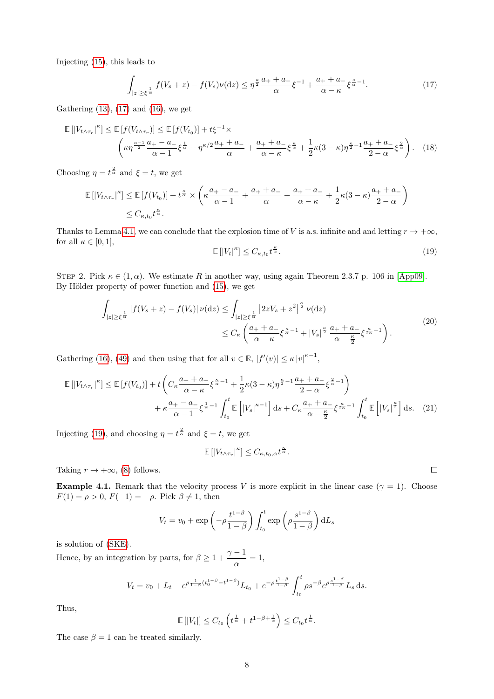Injecting [\(15\)](#page-6-1), this leads to

<span id="page-7-0"></span>
$$
\int_{|z| \ge \xi^{\frac{1}{\alpha}}} f(V_s + z) - f(V_s)\nu(\mathrm{d}z) \le \eta^{\frac{\kappa}{2}} \frac{a_+ + a_-}{\alpha} \xi^{-1} + \frac{a_+ + a_-}{\alpha - \kappa} \xi^{\frac{\kappa}{\alpha} - 1}.
$$
\n(17)

Gathering  $(13)$ ,  $(17)$  and  $(16)$ , we get

$$
\mathbb{E}\left[\left|V_{t\wedge\tau_r}\right|^{\kappa}\right] \leq \mathbb{E}\left[f(V_{t\wedge\tau_r})\right] \leq \mathbb{E}\left[f(V_{t_0})\right] + t\xi^{-1} \times \left(\kappa\eta^{\frac{\kappa-1}{2}}\frac{a_+ - a_-}{\alpha - 1}\xi^{\frac{1}{\alpha}} + \eta^{\kappa/2}\frac{a_+ + a_-}{\alpha} + \frac{a_+ + a_-}{\alpha - \kappa}\xi^{\frac{\kappa}{\alpha}} + \frac{1}{2}\kappa(3-\kappa)\eta^{\frac{\kappa}{2}-1}\frac{a_+ + a_-}{2-\alpha}\xi^{\frac{2}{\alpha}}\right). \tag{18}
$$

Choosing  $\eta = t^{\frac{2}{\alpha}}$  and  $\xi = t$ , we get

$$
\mathbb{E}\left[\left|V_{t\wedge\tau_r}\right|^{\kappa}\right] \leq \mathbb{E}\left[f(V_{t_0})\right] + t^{\frac{\kappa}{\alpha}} \times \left(\kappa \frac{a_+ - a_-}{\alpha - 1} + \frac{a_+ + a_-}{\alpha} + \frac{a_+ + a_-}{\alpha - \kappa} + \frac{1}{2}\kappa(3 - \kappa)\frac{a_+ + a_-}{2 - \alpha}\right)
$$
  

$$
\leq C_{\kappa, t_0} t^{\frac{\kappa}{\alpha}}.
$$

Thanks to Lemma [4.1,](#page-3-3) we can conclude that the explosion time of V is a.s. infinite and and letting  $r \to +\infty$ , for all  $\kappa \in [0,1],$ 

<span id="page-7-2"></span><span id="page-7-1"></span>
$$
\mathbb{E}\left[\left|V_t\right|^{\kappa}\right] \le C_{\kappa,t_0} t^{\frac{\kappa}{\alpha}}.\tag{19}
$$

STEP 2. Pick  $\kappa \in (1, \alpha)$ . We estimate R in another way, using again Theorem 2.3.7 p. 106 in [\[App09\]](#page-24-11). By Hölder property of power function and [\(15\)](#page-6-1), we get

$$
\int_{|z| \ge \xi^{\frac{1}{\alpha}}} |f(V_s + z) - f(V_s)| \nu(\mathrm{d}z) \le \int_{|z| \ge \xi^{\frac{1}{\alpha}}} |2zV_s + z^2|^{\frac{\kappa}{2}} \nu(\mathrm{d}z) \le C_{\kappa} \left( \frac{a_+ + a_-}{\alpha - \kappa} \xi^{\frac{\kappa}{\alpha} - 1} + |V_s|^{\frac{\kappa}{2}} \frac{a_+ + a_-}{\alpha - \frac{\kappa}{2}} \xi^{\frac{\kappa}{2\alpha} - 1} \right).
$$
\n(20)

Gathering [\(16\)](#page-6-2), [\(49\)](#page-19-0) and then using that for all  $v \in \mathbb{R}$ ,  $|f'(v)| \leq \kappa |v|^{\kappa - 1}$ ,

$$
\mathbb{E}\left[|V_{t\wedge\tau_{r}}|^{k}\right] \leq \mathbb{E}\left[f(V_{t_{0}})\right] + t\left(C_{\kappa}\frac{a_{+} + a_{-}}{\alpha - \kappa}\xi^{\frac{\kappa}{\alpha} - 1} + \frac{1}{2}\kappa(3 - \kappa)\eta^{\frac{\kappa}{2} - 1}\frac{a_{+} + a_{-}}{2 - \alpha}\xi^{\frac{2}{\alpha} - 1}\right) + \kappa\frac{a_{+} - a_{-}}{\alpha - 1}\xi^{\frac{1}{\alpha} - 1}\int_{t_{0}}^{t}\mathbb{E}\left[|V_{s}|^{\kappa - 1}\right]ds + C_{\kappa}\frac{a_{+} + a_{-}}{\alpha - \frac{\kappa}{2}}\xi^{\frac{\kappa}{2\alpha} - 1}\int_{t_{0}}^{t}\mathbb{E}\left[|V_{s}|^{\frac{\kappa}{2}}\right]ds. (21)
$$

Injecting [\(19\)](#page-7-1), and choosing  $\eta = t^{\frac{2}{\alpha}}$  and  $\xi = t$ , we get

<span id="page-7-3"></span>
$$
\mathbb{E}\left[\left|V_{t\wedge\tau_r}\right|^{\kappa}\right] \leq C_{\kappa,t_0,\alpha}t^{\frac{\kappa}{\alpha}}.
$$

Taking  $r \to +\infty$ , [\(8\)](#page-5-1) follows.

**Example 4.1.** Remark that the velocity process V is more explicit in the linear case ( $\gamma = 1$ ). Choose  $F(1) = \rho > 0, F(-1) = -\rho.$  Pick  $\beta \neq 1$ , then

$$
V_t = v_0 + \exp\left(-\rho \frac{t^{1-\beta}}{1-\beta}\right) \int_{t_0}^t \exp\left(\rho \frac{s^{1-\beta}}{1-\beta}\right) dL_s
$$

is solution of [\(SKE\)](#page-2-4).

Hence, by an integration by parts, for  $\beta \geq 1 + \frac{\gamma - 1}{\gamma}$  $\frac{1}{\alpha} = 1,$ 

$$
V_t = v_0 + L_t - e^{\rho \frac{1}{1-\beta} (t_0^{1-\beta} - t^{1-\beta})} L_{t_0} + e^{-\rho \frac{t^{1-\beta}}{1-\beta}} \int_{t_0}^t \rho s^{-\beta} e^{\rho \frac{s^{1-\beta}}{1-\beta}} L_s \, ds.
$$

Thus,

$$
\mathbb{E}\left[|V_t|\right] \leq C_{t_0}\left(t^{\frac{1}{\alpha}} + t^{1-\beta+\frac{1}{\alpha}}\right) \leq C_{t_0}t^{\frac{1}{\alpha}}.
$$

The case  $\beta = 1$  can be treated similarly.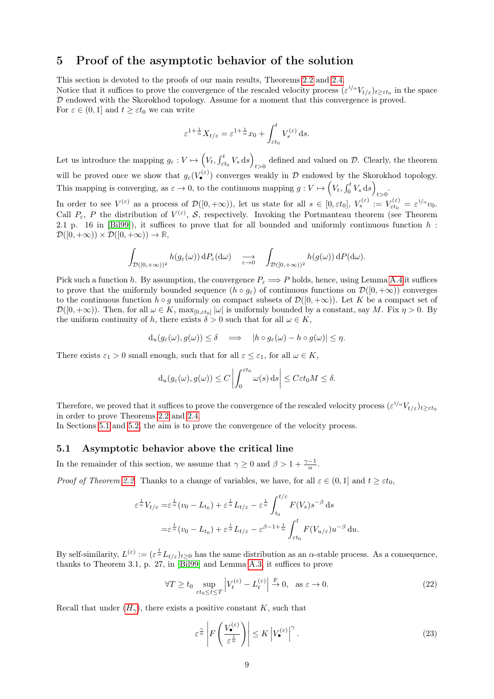# <span id="page-8-0"></span>5 Proof of the asymptotic behavior of the solution

This section is devoted to the proofs of our main results, Theorems [2.2](#page-2-1) and [2.4.](#page-2-0) Notice that it suffices to prove the convergence of the rescaled velocity process  $(\varepsilon^{1/\alpha} V_{t/\varepsilon})_{t\geq \varepsilon t_0}$  in the space D endowed with the Skorokhod topology. Assume for a moment that this convergence is proved. For  $\varepsilon \in (0,1]$  and  $t \geq \varepsilon t_0$  we can write

$$
\varepsilon^{1+\frac{1}{\alpha}} X_{t/\varepsilon} = \varepsilon^{1+\frac{1}{\alpha}} x_0 + \int_{\varepsilon t_0}^t V_s^{(\varepsilon)} ds.
$$

Let us introduce the mapping  $g_{\varepsilon}: V \mapsto \left(V_t, \int_{\varepsilon t_0}^t V_s \,ds\right)$ defined and valued on  $D$ . Clearly, the theorem will be proved once we show that  $g_{\varepsilon}(V_{\bullet}^{(\varepsilon)})$  converges weakly in D endowed by the Skorokhod topology. This mapping is converging, as  $\varepsilon \to 0$ , to the continuous mapping  $g: V \mapsto \left(V_t, \int_0^t V_s \, ds\right)$  $t>0$ .

In order to see  $V^{(\varepsilon)}$  as a process of  $\mathcal{D}([0, +\infty))$ , let us state for all  $s \in [0, \varepsilon t_0]$ ,  $V_s^{(\varepsilon)} := V_{\varepsilon t_0}^{(\varepsilon)} = \varepsilon^{1/\alpha}v_0$ . Call  $P_{\varepsilon}$ , P the distribution of  $V^{(\varepsilon)}$ , S, respectively. Invoking the Portmanteau theorem (see Theorem 2.1 p. 16 in [\[Bil99\]](#page-24-12)), it suffices to prove that for all bounded and uniformly continuous function  $h$ :  $\mathcal{D}([0, +\infty)) \times \mathcal{D}([0, +\infty)) \to \mathbb{R}$ 

$$
\int_{\mathcal{D}([0,+\infty))^2} h(g_{\varepsilon}(\omega)) dP_{\varepsilon}(d\omega) \quad \xrightarrow[\varepsilon \to 0]{} \quad \int_{\mathcal{D}([0,+\infty))^2} h(g(\omega)) dP(d\omega).
$$

Pick such a function h. By assumption, the convergence  $P_{\varepsilon} \Longrightarrow P$  holds, hence, using Lemma [A.4](#page-23-0) it suffices to prove that the uniformly bounded sequence  $(h \circ g_{\varepsilon})$  of continuous functions on  $\mathcal{D}([0, +\infty))$  converges to the continuous function  $h \circ g$  uniformly on compact subsets of  $\mathcal{D}([0, +\infty))$ . Let K be a compact set of  $\mathcal{D}([0,+\infty))$ . Then, for all  $\omega \in K$ ,  $\max_{[0,\varepsilon t_0]} |\omega|$  is uniformly bounded by a constant, say M. Fix  $\eta > 0$ . By the uniform continuity of h, there exists  $\delta > 0$  such that for all  $\omega \in K$ ,

$$
d_u(g_{\varepsilon}(\omega), g(\omega)) \le \delta \quad \Longrightarrow \quad |h \circ g_{\varepsilon}(\omega) - h \circ g(\omega)| \le \eta.
$$

There exists  $\varepsilon_1 > 0$  small enough, such that for all  $\varepsilon \leq \varepsilon_1$ , for all  $\omega \in K$ ,

$$
d_u(g_{\varepsilon}(\omega), g(\omega)) \le C \left| \int_0^{\varepsilon t_0} \omega(s) \, ds \right| \le C \varepsilon t_0 M \le \delta.
$$

Therefore, we proved that it suffices to prove the convergence of the rescaled velocity process  $(\varepsilon^{1/\alpha} V_{t/\varepsilon})_{t\geq \varepsilon t_0}$ in order to prove Theorems [2.2](#page-2-1) and [2.4.](#page-2-0)

In Sections [5.1](#page-8-1) and [5.2,](#page-9-0) the aim is to prove the convergence of the velocity process.

#### <span id="page-8-1"></span>5.1 Asymptotic behavior above the critical line

In the remainder of this section, we assume that  $\gamma \geq 0$  and  $\beta > 1 + \frac{\gamma - 1}{\alpha}$ .

*Proof of Theorem [2.2.](#page-2-1)* Thanks to a change of variables, we have, for all  $\varepsilon \in (0,1]$  and  $t > \varepsilon t_0$ ,

$$
\varepsilon^{\frac{1}{\alpha}} V_{t/\varepsilon} = \varepsilon^{\frac{1}{\alpha}} (v_0 - L_{t_0}) + \varepsilon^{\frac{1}{\alpha}} L_{t/\varepsilon} - \varepsilon^{\frac{1}{\alpha}} \int_{t_0}^{t/\varepsilon} F(V_s) s^{-\beta} ds
$$
  

$$
= \varepsilon^{\frac{1}{\alpha}} (v_0 - L_{t_0}) + \varepsilon^{\frac{1}{\alpha}} L_{t/\varepsilon} - \varepsilon^{\beta - 1 + \frac{1}{\alpha}} \int_{\varepsilon t_0}^t F(V_{u/\varepsilon}) u^{-\beta} du.
$$

By self-similarity,  $L^{(\varepsilon)} := (\varepsilon^{\frac{1}{\alpha}} L_{t/\varepsilon})_{t \geq 0}$  has the same distribution as an  $\alpha$ -stable process. As a consequence, thanks to Theorem 3.1, p. 27, in [\[Bil99\]](#page-24-12) and Lemma [A.3,](#page-22-0) it suffices to prove

$$
\forall T \ge t_0 \sup_{\varepsilon t_0 \le t \le T} \left| V_t^{(\varepsilon)} - L_t^{(\varepsilon)} \right| \xrightarrow{\mathbb{P}} 0, \text{ as } \varepsilon \to 0. \tag{22}
$$

Recall that under  $(H_{\gamma})$  $(H_{\gamma})$  $(H_{\gamma})$ , there exists a positive constant K, such that

<span id="page-8-2"></span>
$$
\varepsilon^{\frac{\gamma}{\alpha}} \left| F\left(\frac{V_{\bullet}^{(\varepsilon)}}{\varepsilon^{\frac{1}{\alpha}}}\right) \right| \leq K \left| V_{\bullet}^{(\varepsilon)} \right| ^{\gamma}.
$$
\n(23)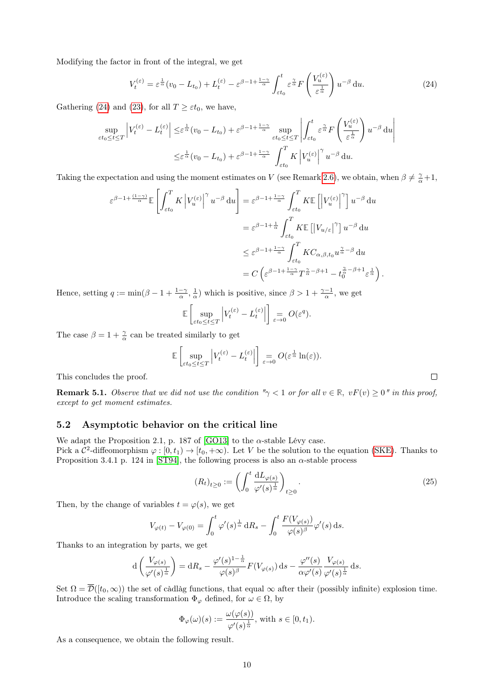Modifying the factor in front of the integral, we get

<span id="page-9-1"></span>
$$
V_t^{(\varepsilon)} = \varepsilon^{\frac{1}{\alpha}}(v_0 - L_{t_0}) + L_t^{(\varepsilon)} - \varepsilon^{\beta - 1 + \frac{1 - \gamma}{\alpha}} \int_{\varepsilon t_0}^t \varepsilon^{\frac{\gamma}{\alpha}} F\left(\frac{V_u^{(\varepsilon)}}{\varepsilon^{\frac{1}{\alpha}}}\right) u^{-\beta} du.
$$
 (24)

Gathering [\(24\)](#page-9-1) and [\(23\)](#page-8-2), for all  $T \geq \varepsilon t_0$ , we have,

$$
\sup_{\varepsilon t_0 \le t \le T} \left| V_t^{(\varepsilon)} - L_t^{(\varepsilon)} \right| \le \varepsilon^{\frac{1}{\alpha}} (v_0 - L_{t_0}) + \varepsilon^{\beta - 1 + \frac{1 - \gamma}{\alpha}} \sup_{\varepsilon t_0 \le t \le T} \left| \int_{\varepsilon t_0}^t \varepsilon^{\frac{\gamma}{\alpha}} F\left(\frac{V_u^{(\varepsilon)}}{\varepsilon^{\frac{1}{\alpha}}}\right) u^{-\beta} du \right|
$$
  

$$
\le \varepsilon^{\frac{1}{\alpha}} (v_0 - L_{t_0}) + \varepsilon^{\beta - 1 + \frac{1 - \gamma}{\alpha}} \int_{\varepsilon t_0}^T K \left| V_u^{(\varepsilon)} \right|^\gamma u^{-\beta} du.
$$

Taking the expectation and using the moment estimates on V (see Remark [2.6\)](#page-2-6), we obtain, when  $\beta \neq \frac{\gamma}{\alpha}+1$ ,

$$
\varepsilon^{\beta - 1 + \frac{(1 - \gamma)}{\alpha}} \mathbb{E} \left[ \int_{\varepsilon t_0}^T K \left| V_u^{(\varepsilon)} \right|^\gamma u^{-\beta} du \right] = \varepsilon^{\beta - 1 + \frac{1 - \gamma}{\alpha}} \int_{\varepsilon t_0}^T K \mathbb{E} \left[ \left| V_u^{(\varepsilon)} \right|^\gamma \right] u^{-\beta} du
$$
  

$$
= \varepsilon^{\beta - 1 + \frac{1}{\alpha}} \int_{\varepsilon t_0}^T K \mathbb{E} \left[ \left| V_{u/\varepsilon} \right|^\gamma \right] u^{-\beta} du
$$
  

$$
\leq \varepsilon^{\beta - 1 + \frac{1 - \gamma}{\alpha}} \int_{\varepsilon t_0}^T K C_{\alpha, \beta, t_0} u^{\frac{\gamma}{\alpha} - \beta} du
$$
  

$$
= C \left( \varepsilon^{\beta - 1 + \frac{1 - \gamma}{\alpha}} T^{\frac{\gamma}{\alpha} - \beta + 1} - t_0^{\frac{\gamma}{\alpha} - \beta + 1} \varepsilon^{\frac{1}{\alpha}} \right).
$$

Hence, setting  $q := \min(\beta - 1 + \frac{1-\gamma}{\alpha}, \frac{1}{\alpha})$  which is positive, since  $\beta > 1 + \frac{\gamma - 1}{\alpha}$ , we get

$$
\mathbb{E}\left[\sup_{\varepsilon t_0 \le t \le T} \left| V_t^{(\varepsilon)} - L_t^{(\varepsilon)} \right| \right] \underset{\varepsilon \to 0}{=} O(\varepsilon^q).
$$

The case  $\beta = 1 + \frac{\gamma}{\alpha}$  can be treated similarly to get

$$
\mathbb{E}\left[\sup_{\varepsilon t_0\leq t\leq T}\left|V_t^{(\varepsilon)}-L_t^{(\varepsilon)}\right|\right] \underset{\varepsilon\to 0}{=}O(\varepsilon^{\frac{1}{\alpha}}\ln(\varepsilon)).
$$

This concludes the proof.

**Remark 5.1.** Observe that we did not use the condition " $\gamma$  < 1 or for all  $v \in \mathbb{R}$ ,  $vF(v) \ge 0$ " in this proof, except to get moment estimates.

### <span id="page-9-0"></span>5.2 Asymptotic behavior on the critical line

We adapt the Proposition 2.1, p. 187 of [\[GO13\]](#page-24-10) to the  $\alpha$ -stable Lévy case.

Pick a  $\mathcal{C}^2$ -diffeomorphism  $\varphi : [0, t_1) \to [t_0, +\infty)$ . Let V be the solution to the equation [\(SKE\)](#page-2-4). Thanks to Proposition 3.4.1 p. 124 in [\[ST94\]](#page-25-10), the following process is also an  $\alpha$ -stable process

<span id="page-9-2"></span>
$$
(R_t)_{t\geq 0} := \left(\int_0^t \frac{\mathrm{d}L_{\varphi(s)}}{\varphi'(s)^{\frac{1}{\alpha}}}\right)_{t\geq 0}.\tag{25}
$$

Then, by the change of variables  $t = \varphi(s)$ , we get

$$
V_{\varphi(t)} - V_{\varphi(0)} = \int_0^t \varphi'(s) \frac{1}{\alpha} dR_s - \int_0^t \frac{F(V_{\varphi(s)})}{\varphi(s)^\beta} \varphi'(s) ds.
$$

Thanks to an integration by parts, we get

$$
d\left(\frac{V_{\varphi(s)}}{\varphi'(s)^{\frac{1}{\alpha}}}\right) = dR_s - \frac{\varphi'(s)^{1-\frac{1}{\alpha}}}{\varphi(s)^{\beta}}F(V_{\varphi(s)}) ds - \frac{\varphi''(s)}{\alpha\varphi'(s)}\frac{V_{\varphi(s)}}{\varphi'(s)^{\frac{1}{\alpha}}} ds.
$$

Set  $\Omega = \overline{\mathcal{D}}([t_0,\infty))$  the set of càdlàg functions, that equal  $\infty$  after their (possibly infinite) explosion time. Introduce the scaling transformation  $\Phi_{\varphi}$  defined, for  $\omega \in \Omega$ , by

$$
\Phi_{\varphi}(\omega)(s) := \frac{\omega(\varphi(s))}{\varphi'(s)^{\frac{1}{\alpha}}}, \text{ with } s \in [0, t_1).
$$

<span id="page-9-3"></span>As a consequence, we obtain the following result.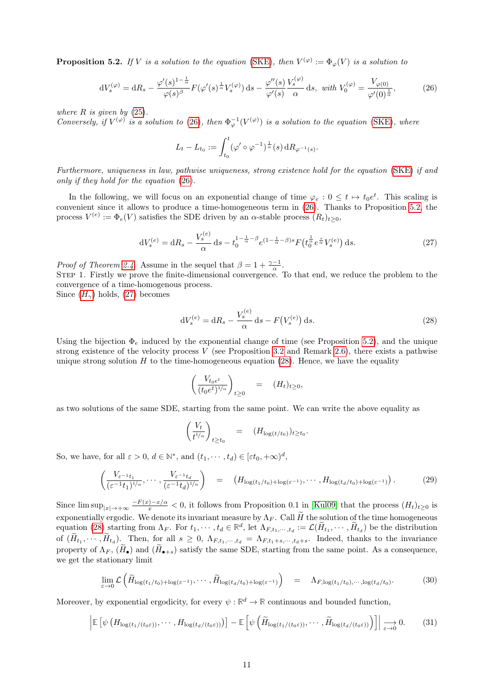**Proposition 5.2.** If V is a solution to the equation [\(SKE\)](#page-2-4), then  $V^{(\varphi)} := \Phi_{\varphi}(V)$  is a solution to

<span id="page-10-0"></span>
$$
dV_s^{(\varphi)} = dR_s - \frac{\varphi'(s)^{1-\frac{1}{\alpha}}}{\varphi(s)^{\beta}} F(\varphi'(s)^{\frac{1}{\alpha}} V_s^{(\varphi)}) ds - \frac{\varphi''(s)}{\varphi'(s)} \frac{V_s^{(\varphi)}}{\alpha} ds, \text{ with } V_0^{(\varphi)} = \frac{V_{\varphi(0)}}{\varphi'(0)^{\frac{1}{\alpha}}},\tag{26}
$$

where  $R$  is given by  $(25)$ .

Conversely, if  $V^{(\varphi)}$  is a solution to [\(26\)](#page-10-0), then  $\Phi_{\varphi}^{-1}(V^{(\varphi)})$  is a solution to the equation [\(SKE\)](#page-2-4), where

$$
L_t - L_{t_0} := \int_{t_0}^t (\varphi' \circ \varphi^{-1})^{\frac{1}{\alpha}}(s) \, dR_{\varphi^{-1}(s)}.
$$

Furthermore, uniqueness in law, pathwise uniqueness, strong existence hold for the equation [\(SKE\)](#page-2-4) if and only if they hold for the equation [\(26\)](#page-10-0).

In the following, we will focus on an exponential change of time  $\varphi_e: 0 \leq t \mapsto t_0 e^t$ . This scaling is convenient since it allows to produce a time-homogeneous term in [\(26\)](#page-10-0). Thanks to Proposition [5.2,](#page-9-3) the process  $V^{(e)} := \Phi_e(V)$  satisfies the SDE driven by an  $\alpha$ -stable process  $(R_t)_{t \geq 0}$ ,

<span id="page-10-1"></span>
$$
dV_s^{(e)} = dR_s - \frac{V_s^{(e)}}{\alpha} ds - t_0^{1 - \frac{1}{\alpha} - \beta} e^{(1 - \frac{1}{\alpha} - \beta)s} F(t_0^{\frac{1}{\alpha}} e^{\frac{s}{\alpha}} V_s^{(e)}) ds.
$$
 (27)

*Proof of Theorem [2.4.](#page-2-0)* Assume in the sequel that  $\beta = 1 + \frac{\gamma - 1}{\alpha}$ .

Step 1. Firstly we prove the finite-dimensional convergence. To that end, we reduce the problem to the convergence of a time-homogenous process.

Since  $(H_{\gamma})$  $(H_{\gamma})$  $(H_{\gamma})$  holds, [\(27\)](#page-10-1) becomes

<span id="page-10-2"></span>
$$
dV_s^{(e)} = dR_s - \frac{V_s^{(e)}}{\alpha} ds - F(V_s^{(e)}) ds.
$$
 (28)

Using the bijection  $\Phi_e$  induced by the exponential change of time (see Proposition [5.2\)](#page-9-3), and the unique strong existence of the velocity process  $V$  (see Proposition [3.2](#page-3-5) and Remark [2.6\)](#page-2-6), there exists a pathwise unique strong solution  $H$  to the time-homogeneous equation [\(28\)](#page-10-2). Hence, we have the equality

$$
\left(\frac{V_{t_0e^t}}{(t_0e^t)^{1/\alpha}}\right)_{t\geq 0} = (H_t)_{t\geq 0},
$$

as two solutions of the same SDE, starting from the same point. We can write the above equality as

$$
\left(\frac{V_t}{t^{1/\alpha}}\right)_{t\geq t_0} = (H_{\log(t/t_0)})_{t\geq t_0}.
$$

So, we have, for all  $\varepsilon > 0$ ,  $d \in \mathbb{N}^*$ , and  $(t_1, \dots, t_d) \in [\varepsilon t_0, +\infty)^d$ ,

<span id="page-10-3"></span>
$$
\left(\frac{V_{\varepsilon^{-1}t_1}}{(\varepsilon^{-1}t_1)^{1/\alpha}},\cdots,\frac{V_{\varepsilon^{-1}t_d}}{(\varepsilon^{-1}t_d)^{1/\alpha}}\right) = \left(H_{\log(t_1/t_0)+\log(\varepsilon^{-1})},\cdots,H_{\log(t_d/t_0)+\log(\varepsilon^{-1})}\right). \tag{29}
$$

Since  $\limsup_{|x|\to+\infty}\frac{-F(x)-x}{x}<0$ , it follows from Proposition 0.1 in [\[Kul09\]](#page-25-11) that the process  $(H_t)_{t\geq0}$  is exponentially ergodic. We denote its invariant measure by  $\Lambda_F$ . Call  $\widetilde{H}$  the solution of the time homogeneous equation [\(28\)](#page-10-2) starting from  $\Lambda_F$ . For  $t_1, \dots, t_d \in \mathbb{R}^d$ , let  $\Lambda_{F,t_1,\dots,t_d} := \mathcal{L}(\tilde{H}_{t_1}, \dots, \tilde{H}_{t_d})$  be the distribution of  $(H_{t_1},\dots,H_{t_d})$ . Then, for all  $s\geq 0$ ,  $\Lambda_{F,t_1,\dots,t_d}=\Lambda_{F,t_1+s,\dots,t_d+s}$ . Indeed, thanks to the invariance property of  $\Lambda_F$ ,  $(\widetilde{H}_\bullet)$  and  $(\widetilde{H}_{\bullet+s})$  satisfy the same SDE, starting from the same point. As a consequence, we get the stationary limit

<span id="page-10-4"></span>
$$
\lim_{\varepsilon \to 0} \mathcal{L}\left(\widetilde{H}_{\log(t_1/t_0) + \log(\varepsilon^{-1})}, \cdots, \widetilde{H}_{\log(t_d/t_0) + \log(\varepsilon^{-1})}\right) = \Lambda_{F, \log(t_1/t_0), \cdots, \log(t_d/t_0)}.
$$
\n(30)

Moreover, by exponential ergodicity, for every  $\psi : \mathbb{R}^d \to \mathbb{R}$  continuous and bounded function,

<span id="page-10-5"></span>
$$
\left| \mathbb{E} \left[ \psi \left( H_{\log(t_1/(t_0 \varepsilon))}, \cdots, H_{\log(t_d/(t_0 \varepsilon))} \right) \right] - \mathbb{E} \left[ \psi \left( \widetilde{H}_{\log(t_1/(t_0 \varepsilon))}, \cdots, \widetilde{H}_{\log(t_d/(t_0 \varepsilon))} \right) \right] \right| \underset{\varepsilon \to 0}{\longrightarrow} 0. \tag{31}
$$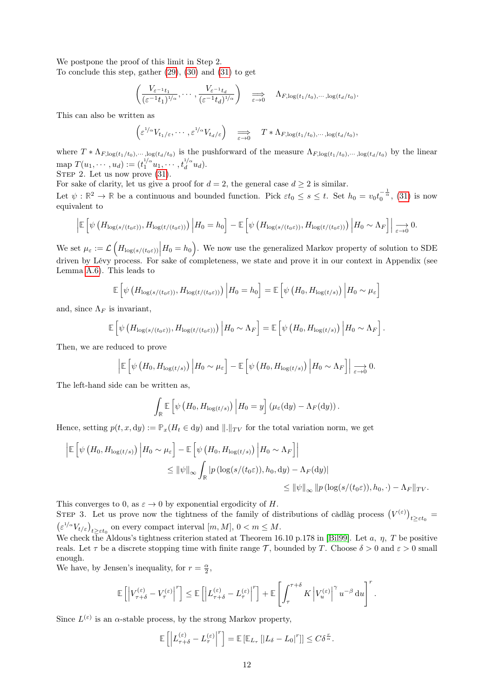We postpone the proof of this limit in Step 2.

To conclude this step, gather  $(29)$ ,  $(30)$  and  $(31)$  to get

$$
\left(\frac{V_{\varepsilon^{-1}t_1}}{(\varepsilon^{-1}t_1)^{1/\alpha}},\cdots,\frac{V_{\varepsilon^{-1}t_d}}{(\varepsilon^{-1}t_d)^{1/\alpha}}\right) \quad \Longrightarrow \quad \Lambda_{F,\log(t_1/t_0),\cdots,\log(t_d/t_0)}.
$$

This can also be written as

$$
\left(\varepsilon^{1/\alpha}V_{t_1/\varepsilon},\cdots,\varepsilon^{1/\alpha}V_{t_d/\varepsilon}\right) \quad \Longrightarrow \quad T * \Lambda_{F,\log(t_1/t_0),\cdots,\log(t_d/t_0)},
$$

where  $T * \Lambda_{F, \log(t_1/t_0), \dots, \log(t_d/t_0)}$  is the pushforward of the measure  $\Lambda_{F, \log(t_1/t_0), \dots, \log(t_d/t_0)}$  by the linear map  $T(u_1, \dots, u_d) := (t_1^{1/\alpha} u_1, \dots, t_d^{1/\alpha})$  $\int_{d}^{i/\alpha} u_d$ ).

STEP 2. Let us now prove  $(31)$ .

For sake of clarity, let us give a proof for  $d = 2$ , the general case  $d \geq 2$  is similar.

Let  $\psi : \mathbb{R}^2 \to \mathbb{R}$  be a continuous and bounded function. Pick  $\varepsilon t_0 \leq s \leq t$ . Set  $h_0 = v_0 t_0^{-\frac{1}{\alpha}}$ , [\(31\)](#page-10-5) is now equivalent to

$$
\left| \mathbb{E}\left[\psi\left(H_{\log(s/(t_0\varepsilon))}, H_{\log(t/(t_0\varepsilon))}\right) \Big| H_0 = h_0 \right] - \mathbb{E}\left[\psi\left(H_{\log(s/(t_0\varepsilon))}, H_{\log(t/(t_0\varepsilon))}\right) \Big| H_0 \sim \Lambda_F\right] \right| \underset{\varepsilon \to 0}{\longrightarrow} 0.
$$

We set  $\mu_{\varepsilon} := \mathcal{L}\left(H_{\log(s/(t_0 \varepsilon))} \Big| H_0 = h_0\right)$ . We now use the generalized Markov property of solution to SDE driven by Lévy process. For sake of completeness, we state and prove it in our context in Appendix (see Lemma [A.6\)](#page-23-1). This leads to

$$
\mathbb{E}\left[\psi\left(H_{\log(s/(t_0\varepsilon))},H_{\log(t/(t_0\varepsilon))}\right)\Big|H_0=h_0\right]=\mathbb{E}\left[\psi\left(H_0,H_{\log(t/s)}\right)\Big|H_0\sim\mu_\varepsilon\right]
$$

and, since  $\Lambda_F$  is invariant,

$$
\mathbb{E}\left[\psi\left(H_{\log(s/(t_0\varepsilon))},H_{\log(t/(t_0\varepsilon))}\right)\Big|H_0\sim\Lambda_F\right]=\mathbb{E}\left[\psi\left(H_0,H_{\log(t/s)}\right)\Big|H_0\sim\Lambda_F\right].
$$

Then, we are reduced to prove

$$
\left| \mathbb{E}\left[\psi\left(H_0, H_{\log(t/s)}\right) \Big| H_0 \sim \mu_{\varepsilon} \right] - \mathbb{E}\left[\psi\left(H_0, H_{\log(t/s)}\right) \Big| H_0 \sim \Lambda_F \right] \right| \underset{\varepsilon \to 0}{\longrightarrow} 0.
$$

The left-hand side can be written as,

$$
\int_{\mathbb{R}} \mathbb{E}\left[\psi\left(H_0, H_{\log(t/s)}\right) \Big| H_0 = y\right] \left(\mu_{\varepsilon}(\mathrm{d}y) - \Lambda_F(\mathrm{d}y)\right).
$$

Hence, setting  $p(t, x, dy) := \mathbb{P}_x(H_t \in dy)$  and  $\|.\|_{TV}$  for the total variation norm, we get

$$
\left| \mathbb{E} \left[ \psi \left( H_0, H_{\log(t/s)} \right) \middle| H_0 \sim \mu_{\varepsilon} \right] - \mathbb{E} \left[ \psi \left( H_0, H_{\log(t/s)} \right) \middle| H_0 \sim \Lambda_F \right] \right|
$$
  
\n
$$
\leq \|\psi\|_{\infty} \int_{\mathbb{R}} |p(\log(s/(t_0 \varepsilon)), h_0, dy) - \Lambda_F(dy)|
$$
  
\n
$$
\leq \|\psi\|_{\infty} \|p(\log(s/(t_0 \varepsilon)), h_0, \cdot) - \Lambda_F \|_{TV}.
$$

This converges to 0, as  $\varepsilon \to 0$  by exponential ergodicity of H.

STEP 3. Let us prove now the tightness of the family of distributions of càdlàg process  $(V^{(\varepsilon)})_{t\geq \varepsilon t_0}$  $\left(\varepsilon^{1/\alpha} V_{t/\varepsilon}\right)_{t\geq \varepsilon t_0}$  on every compact interval  $[m, M], 0 < m \leq M$ .

We check the Aldous's tightness criterion stated at Theorem 16.10 p.178 in [\[Bil99\]](#page-24-12). Let  $a, \eta, T$  be positive reals. Let  $\tau$  be a discrete stopping time with finite range  $\tau$ , bounded by T. Choose  $\delta > 0$  and  $\varepsilon > 0$  small enough.

We have, by Jensen's inequality, for  $r = \frac{\alpha}{2}$ ,

$$
\mathbb{E}\left[\left|V^{(\varepsilon)}_{\tau+\delta}-V^{(\varepsilon)}_\tau\right|^r\right]\leq \mathbb{E}\left[\left|L^{(\varepsilon)}_{\tau+\delta}-L^{(\varepsilon)}_\tau\right|^r\right]+\mathbb{E}\left[\int_{\tau}^{\tau+\delta}K\left|V^{(\varepsilon)}_u\right|^{\gamma}u^{-\beta}\,\mathrm{d} u\right]^r.
$$

Since  $L^{(\varepsilon)}$  is an  $\alpha$ -stable process, by the strong Markov property,

$$
\mathbb{E}\left[\left|L_{\tau+\delta}^{(\varepsilon)}-L_{\tau}^{(\varepsilon)}\right|^r\right]=\mathbb{E}\left[\mathbb{E}_{L_{\tau}}\left[\left|L_{\delta}-L_{0}\right|^r\right]\right]\leq C\delta^{\frac{r}{\alpha}}.
$$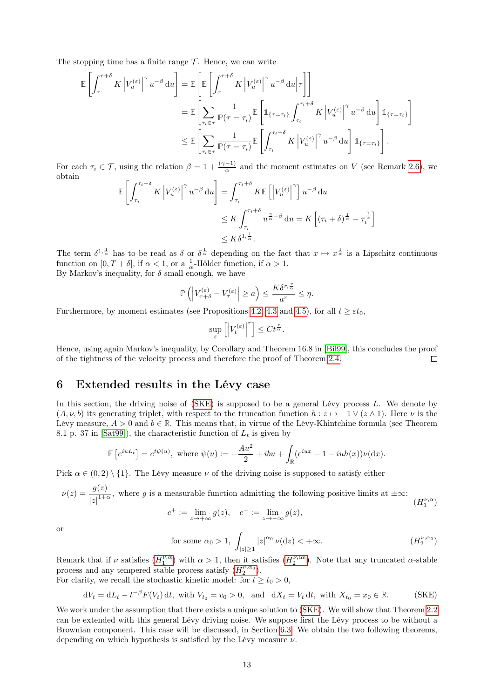The stopping time has a finite range  $\mathcal T$ . Hence, we can write

$$
\mathbb{E}\left[\int_{\tau}^{\tau+\delta} K \left|V_{u}^{(\varepsilon)}\right|^{\gamma} u^{-\beta} du\right] = \mathbb{E}\left[\mathbb{E}\left[\int_{\tau}^{\tau+\delta} K \left|V_{u}^{(\varepsilon)}\right|^{\gamma} u^{-\beta} du \right|\tau\right]\right]
$$
  
\n
$$
= \mathbb{E}\left[\sum_{\tau_{i}\in\tau} \frac{1}{\mathbb{P}(\tau=\tau_{i})} \mathbb{E}\left[\mathbb{1}_{\{\tau=\tau_{i}\}} \int_{\tau_{i}}^{\tau_{i}+\delta} K \left|V_{u}^{(\varepsilon)}\right|^{\gamma} u^{-\beta} du\right] \mathbb{1}_{\{\tau=\tau_{i}\}}\right]
$$
  
\n
$$
\leq \mathbb{E}\left[\sum_{\tau_{i}\in\tau} \frac{1}{\mathbb{P}(\tau=\tau_{i})} \mathbb{E}\left[\int_{\tau_{i}}^{\tau_{i}+\delta} K \left|V_{u}^{(\varepsilon)}\right|^{\gamma} u^{-\beta} du\right] \mathbb{1}_{\{\tau=\tau_{i}\}}\right].
$$

For each  $\tau_i \in \mathcal{T}$ , using the relation  $\beta = 1 + \frac{(\gamma - 1)}{\alpha}$  and the moment estimates on V (see Remark [2.6\)](#page-2-6), we obtain

$$
\mathbb{E}\left[\int_{\tau_i}^{\tau_i+\delta} K \left|V_u^{(\varepsilon)}\right|^\gamma u^{-\beta} du\right] = \int_{\tau_i}^{\tau_i+\delta} K \mathbb{E}\left[\left|V_u^{(\varepsilon)}\right|^\gamma\right] u^{-\beta} du
$$
  

$$
\leq K \int_{\tau_i}^{\tau_i+\delta} u^{\frac{\gamma}{\alpha}-\beta} du = K \left[(\tau_i+\delta)^{\frac{1}{\alpha}} - \tau_i^{\frac{1}{\alpha}}\right]
$$
  

$$
\leq K \delta^{1,\frac{1}{\alpha}}.
$$

The term  $\delta^{1,\frac{1}{\alpha}}$  has to be read as  $\delta$  or  $\delta^{\frac{1}{\alpha}}$  depending on the fact that  $x \mapsto x^{\frac{1}{\alpha}}$  is a Lipschitz continuous function on  $[0, T + \delta]$ , if  $\alpha < 1$ , or a  $\frac{1}{\alpha}$ -Hölder function, if  $\alpha > 1$ . By Markov's inequality, for  $\delta$  small enough, we have

$$
\mathbb{P}\left(\left|V_{\tau+\delta}^{(\varepsilon)}-V_\tau^{(\varepsilon)}\right|\geq a\right)\leq \frac{K\delta^{r,\frac{r}{\alpha}}}{a^r}\leq \eta.
$$

Furthermore, by moment estimates (see Propositions [4.2,](#page-3-6) [4.3](#page-4-2) and [4.5\)](#page-5-0), for all  $t \geq \varepsilon t_0$ ,

$$
\sup_{\varepsilon} \left[ \left| V_t^{(\varepsilon)} \right|^r \right] \leq C t^{\frac{r}{\alpha}}.
$$

Hence, using again Markov's inequality, by Corollary and Theorem 16.8 in [\[Bil99\]](#page-24-12), this concludes the proof of the tightness of the velocity process and therefore the proof of Theorem [2.4.](#page-2-0)  $\Box$ 

# <span id="page-12-1"></span>6 Extended results in the Lévy case

In this section, the driving noise of [\(SKE\)](#page-2-4) is supposed to be a general Lévy process L. We denote by  $(A, \nu, b)$  its generating triplet, with respect to the truncation function  $h : z \mapsto -1 \vee (z \wedge 1)$ . Here  $\nu$  is the Lévy measure,  $A > 0$  and  $b \in \mathbb{R}$ . This means that, in virtue of the Lévy-Khintchine formula (see Theorem 8.1 p. 37 in [\[Sat99\]](#page-25-12)), the characteristic function of  $L_t$  is given by

$$
\mathbb{E}\left[e^{iuL_t}\right] = e^{t\psi(u)}, \text{ where } \psi(u) := -\frac{Au^2}{2} + ibu + \int_{\mathbb{R}} (e^{iux} - 1 - iuh(x))\nu(\mathrm{d}x).
$$

Pick  $\alpha \in (0, 2) \setminus \{1\}$ . The Lévy measure  $\nu$  of the driving noise is supposed to satisfy either

$$
\nu(z) = \frac{g(z)}{|z|^{1+\alpha}},
$$
 where *g* is a measurable function admitting the following positive limits at  $\pm \infty$ :  

$$
(H_1^{\nu,\alpha})
$$

<span id="page-12-2"></span>
$$
c^+ := \lim_{z \to +\infty} g(z), \quad c^- := \lim_{z \to -\infty} g(z),
$$

or

<span id="page-12-3"></span>for some 
$$
\alpha_0 > 1
$$
, 
$$
\int_{|z| \ge 1} |z|^{\alpha_0} \nu(\mathrm{d}z) < +\infty. \tag{H_2^{\nu,\alpha_0}}
$$

Remark that if  $\nu$  satisfies  $(H_1^{\nu,\alpha})$  $(H_1^{\nu,\alpha})$  $(H_1^{\nu,\alpha})$  with  $\alpha > 1$ , then it satisfies  $(H_2^{\nu,\alpha_0})$ . Note that any truncated  $\alpha$ -stable process and any tempered stable process satisfy  $(H_2^{\nu,\alpha_0})$  $(H_2^{\nu,\alpha_0})$  $(H_2^{\nu,\alpha_0})$ . For clarity, we recall the stochastic kinetic model: for  $t \geq t_0 > 0$ ,

$$
dV_t = dL_t - t^{-\beta} F(V_t) dt, \text{ with } V_{t_0} = v_0 > 0, \text{ and } dX_t = V_t dt, \text{ with } X_{t_0} = x_0 \in \mathbb{R}.
$$
 (SKE)

<span id="page-12-0"></span>We work under the assumption that there exists a unique solution to [\(SKE\)](#page-2-4). We will show that Theorem [2.2](#page-2-1) can be extended with this general Lévy driving noise. We suppose first the Lévy process to be without a Brownian component. This case will be discussed, in Section [6.3.](#page-19-1) We obtain the two following theorems, depending on which hypothesis is satisfied by the Lévy measure  $\nu$ .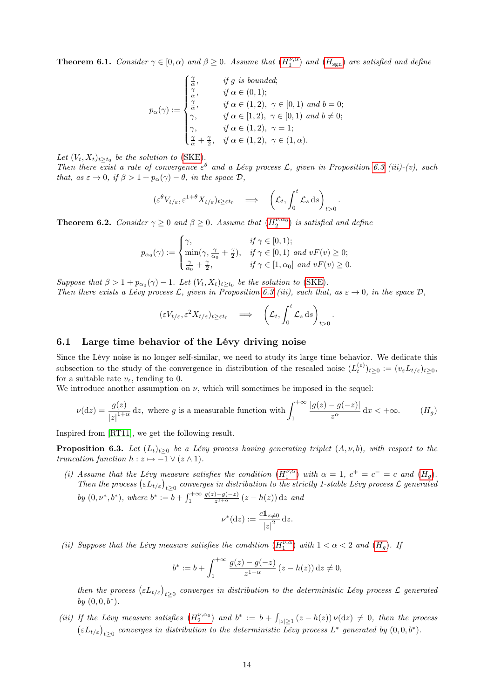**Theorem 6.1.** Consider  $\gamma \in [0, \alpha)$  and  $\beta \ge 0$ . Assume that  $(H_1^{\nu,\alpha})$  $(H_1^{\nu,\alpha})$  $(H_1^{\nu,\alpha})$  and  $(H_{sgn})$  are satisfied and define

$$
p_{\alpha}(\gamma) := \begin{cases} \frac{\gamma}{\alpha}, & \text{if } g \text{ is bounded;} \\ \frac{\gamma}{\alpha}, & \text{if } \alpha \in (0,1); \\ \frac{\gamma}{\alpha}, & \text{if } \alpha \in (1,2), \ \gamma \in [0,1) \text{ and } b = 0; \\ \gamma, & \text{if } \alpha \in [1,2), \ \gamma \in [0,1) \text{ and } b \neq 0; \\ \gamma, & \text{if } \alpha \in (1,2), \ \gamma = 1; \\ \frac{\gamma}{\alpha} + \frac{\gamma}{2}, & \text{if } \alpha \in (1,2), \ \gamma \in (1,\alpha). \end{cases}
$$

Let  $(V_t, X_t)_{t \geq t_0}$  be the solution to [\(SKE\)](#page-2-4).

Then there exist a rate of convergence  $\varepsilon^{\theta}$  and a Lévy process L, given in Proposition [6.3](#page-13-1) (iii)-(v), such that, as  $\varepsilon \to 0$ , if  $\beta > 1 + p_\alpha(\gamma) - \theta$ , in the space  $\mathcal{D}$ ,

$$
(\varepsilon^{\theta} V_{t/\varepsilon}, \varepsilon^{1+\theta} X_{t/\varepsilon})_{t \geq \varepsilon t_0} \quad \Longrightarrow \quad \left( \mathcal{L}_t, \int_0^t \mathcal{L}_s \, \mathrm{d}s \right)_{t > 0}
$$

.

<span id="page-13-2"></span>.

<span id="page-13-0"></span>**Theorem 6.2.** Consider  $\gamma \geq 0$  and  $\beta \geq 0$ . Assume that  $(H_2^{\nu,\alpha_0})$  $(H_2^{\nu,\alpha_0})$  $(H_2^{\nu,\alpha_0})$  is satisfied and define

$$
p_{\alpha_0}(\gamma) := \begin{cases} \gamma, & \text{if } \gamma \in [0,1); \\ \min(\gamma, \frac{\gamma}{\alpha_0} + \frac{\gamma}{2}), & \text{if } \gamma \in [0,1) \text{ and } vF(v) \ge 0; \\ \frac{\gamma}{\alpha_0} + \frac{\gamma}{2}, & \text{if } \gamma \in [1, \alpha_0] \text{ and } vF(v) \ge 0. \end{cases}
$$

Suppose that  $\beta > 1 + p_{\alpha_0}(\gamma) - 1$ . Let  $(V_t, X_t)_{t \geq t_0}$  be the solution to [\(SKE\)](#page-2-4). Then there exists a Lévy process L, given in Proposition [6.3](#page-13-1) (iii), such that, as  $\varepsilon \to 0$ , in the space D,

$$
(\varepsilon V_{t/\varepsilon}, \varepsilon^2 X_{t/\varepsilon})_{t \ge \varepsilon t_0} \quad \Longrightarrow \quad \left( \mathcal{L}_t, \int_0^t \mathcal{L}_s \, \mathrm{d}s \right)_{t > 0}
$$

#### 6.1 Large time behavior of the Lévy driving noise

Since the Lévy noise is no longer self-similar, we need to study its large time behavior. We dedicate this subsection to the study of the convergence in distribution of the rescaled noise  $(L_t^{(\varepsilon)})_{t\geq 0} := (v_{\varepsilon}L_{t/\varepsilon})_{t\geq 0}$ , for a suitable rate  $v_{\varepsilon}$ , tending to 0.

We introduce another assumption on  $\nu$ , which will sometimes be imposed in the sequel:

$$
\nu(\mathrm{d}z) = \frac{g(z)}{|z|^{1+\alpha}} \, \mathrm{d}z, \text{ where } g \text{ is a measurable function with} \int_{1}^{+\infty} \frac{|g(z)-g(-z)|}{z^{\alpha}} \, \mathrm{d}x < +\infty. \tag{H_g}
$$

Inspired from [\[RT11\]](#page-25-13), we get the following result.

<span id="page-13-1"></span>**Proposition 6.3.** Let  $(L_t)_{t>0}$  be a Lévy process having generating triplet  $(A, \nu, b)$ , with respect to the truncation function  $h : z \mapsto -1 \vee (z \wedge 1)$ .

(i) Assume that the Lévy measure satisfies the condition  $(H_1^{\nu,\alpha})$  $(H_1^{\nu,\alpha})$  $(H_1^{\nu,\alpha})$  with  $\alpha = 1, c^+ = c^- = c$  and  $(H_g)$ . Then the process  $(\varepsilon L_{t/\varepsilon})_{t\geq0}$  converges in distribution to the strictly 1-stable Lévy process  $\mathcal L$  generated by  $(0, \nu^*, b^*)$ , where  $b^* := b + \int_1^{+\infty}$  $g(z)-g(-z)$  $\frac{(-1)^{\frac{-q(-z)}{2} (z - h(z)) dz}$  and

$$
\nu^*(dz) := \frac{c \mathbb{1}_{z \neq 0}}{|z|^2} dz.
$$

(ii) Suppose that the Lévy measure satisfies the condition  $(H_1^{\nu,\alpha})$  $(H_1^{\nu,\alpha})$  $(H_1^{\nu,\alpha})$  with  $1 < \alpha < 2$  and  $(H_g)$ . If

$$
b^* := b + \int_1^{+\infty} \frac{g(z) - g(-z)}{z^{1+\alpha}} (z - h(z)) dz \neq 0,
$$

then the process  $(\varepsilon L_{t/\varepsilon})_{t\geq 0}$  converges in distribution to the deterministic Lévy process  $\mathcal L$  generated by  $(0,0,b^*)$ .

(iii) If the Lévy measure satisfies  $(H_2^{\nu,\alpha_0})$  $(H_2^{\nu,\alpha_0})$  $(H_2^{\nu,\alpha_0})$  and  $b^* := b + \int_{|z| \geq 1} (z - h(z)) \nu(\mathrm{d}z) \neq 0$ , then the process  $\left(\varepsilon L_{t/\varepsilon}\right)_{t\geq0}$  converges in distribution to the deterministic Lévy process  $L^*$  generated by  $(0,0,b^*)$ .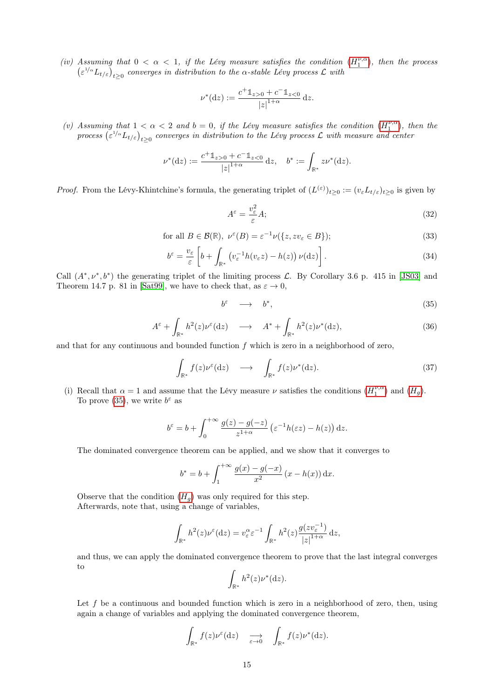(iv) Assuming that  $0 < \alpha < 1$ , if the Lévy measure satisfies the condition  $(H_1^{\nu,\alpha})$  $(H_1^{\nu,\alpha})$  $(H_1^{\nu,\alpha})$ , then the process  $\left(\varepsilon^{1/\alpha} L_{t/\varepsilon}\right)_{t\geq 0}$  converges in distribution to the  $\alpha$ -stable Lévy process  $\mathcal L$  with

$$
\nu^*(dz) := \frac{c^+ \mathbb{1}_{z>0} + c^- \mathbb{1}_{z<0}}{|z|^{1+\alpha}} dz.
$$

(v) Assuming that  $1 < \alpha < 2$  and  $b = 0$ , if the Lévy measure satisfies the condition  $(H_1^{\nu,\alpha})$  $(H_1^{\nu,\alpha})$  $(H_1^{\nu,\alpha})$ , then the process  $(\varepsilon^{1/\alpha} L_{t/\varepsilon})_{t\geq 0}$  converges in distribution to the Lévy process  $\mathcal L$  with measure and center

$$
\nu^*(dz) := \frac{c^+ \mathbb{1}_{z>0} + c^- \mathbb{1}_{z<0}}{|z|^{1+\alpha}} dz, \quad b^* := \int_{\mathbb{R}^*} z \nu^*(dz).
$$

*Proof.* From the Lévy-Khintchine's formula, the generating triplet of  $(L^{(\varepsilon)})_{t\geq 0} := (v_{\varepsilon}L_{t/\varepsilon})_{t\geq 0}$  is given by

$$
A^{\varepsilon} = \frac{v_{\varepsilon}^2}{\varepsilon} A; \tag{32}
$$

for all 
$$
B \in \mathcal{B}(\mathbb{R}), \ \nu^{\varepsilon}(B) = \varepsilon^{-1} \nu(\{z, zv_{\varepsilon} \in B\});
$$
 (33)

$$
b^{\varepsilon} = \frac{v_{\varepsilon}}{\varepsilon} \left[ b + \int_{\mathbb{R}^*} \left( v_{\varepsilon}^{-1} h(v_{\varepsilon} z) - h(z) \right) \nu(\mathrm{d} z) \right]. \tag{34}
$$

Call  $(A^*, \nu^*, b^*)$  the generating triplet of the limiting process  $\mathcal{L}$ . By Corollary 3.6 p. 415 in [\[JS03\]](#page-25-14) and Theorem 14.7 p. 81 in [\[Sat99\]](#page-25-12), we have to check that, as  $\varepsilon \to 0$ ,

<span id="page-14-0"></span>
$$
b^{\varepsilon} \quad \longrightarrow \quad b^*, \tag{35}
$$

<span id="page-14-1"></span>
$$
A^{\varepsilon} + \int_{\mathbb{R}^*} h^2(z) \nu^{\varepsilon}(\mathrm{d}z) \quad \longrightarrow \quad A^* + \int_{\mathbb{R}^*} h^2(z) \nu^*(\mathrm{d}z), \tag{36}
$$

and that for any continuous and bounded function  $f$  which is zero in a neighborhood of zero,

<span id="page-14-2"></span>
$$
\int_{\mathbb{R}^*} f(z) \nu^{\varepsilon}(\mathrm{d}z) \quad \longrightarrow \quad \int_{\mathbb{R}^*} f(z) \nu^*(\mathrm{d}z). \tag{37}
$$

(i) Recall that  $\alpha = 1$  and assume that the Lévy measure  $\nu$  satisfies the conditions  $(H_1^{\nu,\alpha})$  $(H_1^{\nu,\alpha})$  $(H_1^{\nu,\alpha})$  and  $(H_g)$ . To prove [\(35\)](#page-14-0), we write  $b^{\varepsilon}$  as

$$
b^{\varepsilon} = b + \int_0^{+\infty} \frac{g(z) - g(-z)}{z^{1+\alpha}} \left( \varepsilon^{-1} h(\varepsilon z) - h(z) \right) dz.
$$

The dominated convergence theorem can be applied, and we show that it converges to

$$
b^* = b + \int_1^{+\infty} \frac{g(x) - g(-x)}{x^2} (x - h(x)) dx.
$$

Observe that the condition  $(H<sub>g</sub>)$  $(H<sub>g</sub>)$  $(H<sub>g</sub>)$  was only required for this step. Afterwards, note that, using a change of variables,

$$
\int_{\mathbb{R}^*} h^2(z) \nu^{\varepsilon} (dz) = v_{\varepsilon}^{\alpha} \varepsilon^{-1} \int_{\mathbb{R}^*} h^2(z) \frac{g(z v_{\varepsilon}^{-1})}{|z|^{1+\alpha}} dz,
$$

and thus, we can apply the dominated convergence theorem to prove that the last integral converges to

$$
\int_{\mathbb{R}^*} h^2(z) \nu^*(dz).
$$

Let  $f$  be a continuous and bounded function which is zero in a neighborhood of zero, then, using again a change of variables and applying the dominated convergence theorem,

$$
\int_{\mathbb{R}^*} f(z) \nu^{\varepsilon}(\mathrm{d} z) \quad \xrightarrow{\varepsilon \to 0} \quad \int_{\mathbb{R}^*} f(z) \nu^*(\mathrm{d} z).
$$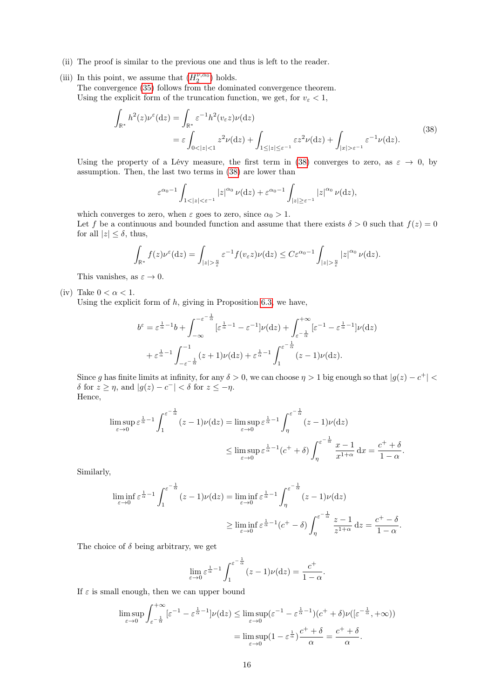- (ii) The proof is similar to the previous one and thus is left to the reader.
- (iii) In this point, we assume that  $(H^{\nu,\alpha_0}_2)$  $(H^{\nu,\alpha_0}_2)$  $(H^{\nu,\alpha_0}_2)$  holds. The convergence [\(35\)](#page-14-0) follows from the dominated convergence theorem. Using the explicit form of the truncation function, we get, for  $v_{\varepsilon} < 1$ ,

<span id="page-15-0"></span>
$$
\int_{\mathbb{R}^*} h^2(z) \nu^{\varepsilon}(\mathrm{d}z) = \int_{\mathbb{R}^*} \varepsilon^{-1} h^2(v_{\varepsilon}z) \nu(\mathrm{d}z)
$$
\n
$$
= \varepsilon \int_{0 < |z| < 1} z^2 \nu(\mathrm{d}z) + \int_{1 \le |z| \le \varepsilon^{-1}} \varepsilon z^2 \nu(\mathrm{d}z) + \int_{|x| > \varepsilon^{-1}} \varepsilon^{-1} \nu(\mathrm{d}z).
$$
\n(38)

Using the property of a Lévy measure, the first term in [\(38\)](#page-15-0) converges to zero, as  $\varepsilon \to 0$ , by assumption. Then, the last two terms in [\(38\)](#page-15-0) are lower than

$$
\varepsilon^{\alpha_0-1} \int_{1<|z|<\varepsilon^{-1}} |z|^{\alpha_0} \nu(\mathrm{d}z) + \varepsilon^{\alpha_0-1} \int_{|z|\geq \varepsilon^{-1}} |z|^{\alpha_0} \nu(\mathrm{d}z),
$$

which converges to zero, when  $\varepsilon$  goes to zero, since  $\alpha_0 > 1$ .

Let f be a continuous and bounded function and assume that there exists  $\delta > 0$  such that  $f(z) = 0$ for all  $|z| \leq \delta$ , thus,

$$
\int_{\mathbb{R}^*} f(z) \nu^{\varepsilon} (dz) = \int_{|z| > \frac{\pi}{\varepsilon}} \varepsilon^{-1} f(v_{\varepsilon} z) \nu(dz) \leq C \varepsilon^{\alpha_0 - 1} \int_{|z| > \frac{\pi}{\varepsilon}} |z|^{\alpha_0} \nu(dz).
$$

This vanishes, as  $\varepsilon \to 0$ .

(iv) Take  $0 < \alpha < 1$ .

Using the explicit form of  $h$ , giving in Proposition [6.3,](#page-13-1) we have,

$$
b^{\varepsilon} = \varepsilon^{\frac{1}{\alpha}-1}b + \int_{-\infty}^{-\varepsilon^{-\frac{1}{\alpha}}} [\varepsilon^{\frac{1}{\alpha}-1} - \varepsilon^{-1}] \nu(\mathrm{d}z) + \int_{\varepsilon^{-\frac{1}{\alpha}}}^{+\infty} [\varepsilon^{-1} - \varepsilon^{\frac{1}{\alpha}-1}] \nu(\mathrm{d}z)
$$

$$
+ \varepsilon^{\frac{1}{\alpha}-1} \int_{-\varepsilon^{-\frac{1}{\alpha}}}^{-1} (z+1)\nu(\mathrm{d}z) + \varepsilon^{\frac{1}{\alpha}-1} \int_{1}^{\varepsilon^{-\frac{1}{\alpha}}} (z-1)\nu(\mathrm{d}z).
$$

Since g has finite limits at infinity, for any  $\delta > 0$ , we can choose  $\eta > 1$  big enough so that  $|g(z) - c^+|$ δ for  $z \geq η$ , and  $|g(z) - c^-| < δ$  for  $z \leq -η$ . Hence,

$$
\limsup_{\varepsilon \to 0} \varepsilon^{\frac{1}{\alpha} - 1} \int_{1}^{\varepsilon^{-\frac{1}{\alpha}}} (z - 1) \nu(\mathrm{d}z) = \limsup_{\varepsilon \to 0} \varepsilon^{\frac{1}{\alpha} - 1} \int_{\eta}^{\varepsilon^{-\frac{1}{\alpha}}} (z - 1) \nu(\mathrm{d}z)
$$
\n
$$
\leq \limsup_{\varepsilon \to 0} \varepsilon^{\frac{1}{\alpha} - 1} (c^{+} + \delta) \int_{\eta}^{\varepsilon^{-\frac{1}{\alpha}}} \frac{x - 1}{x^{1 + \alpha}} \, \mathrm{d}x = \frac{c^{+} + \delta}{1 - \alpha}.
$$

Similarly,

$$
\liminf_{\varepsilon \to 0} \varepsilon^{\frac{1}{\alpha} - 1} \int_{1}^{\varepsilon^{-\frac{1}{\alpha}}} (z - 1) \nu(\mathrm{d}z) = \liminf_{\varepsilon \to 0} \varepsilon^{\frac{1}{\alpha} - 1} \int_{\eta}^{\varepsilon^{-\frac{1}{\alpha}}} (z - 1) \nu(\mathrm{d}z)
$$
\n
$$
\geq \liminf_{\varepsilon \to 0} \varepsilon^{\frac{1}{\alpha} - 1} (c^{+} - \delta) \int_{\eta}^{\varepsilon^{-\frac{1}{\alpha}}} \frac{z - 1}{z^{1 + \alpha}} \, \mathrm{d}z = \frac{c^{+} - \delta}{1 - \alpha}.
$$

The choice of  $\delta$  being arbitrary, we get

$$
\lim_{\varepsilon \to 0} \varepsilon^{\frac{1}{\alpha} - 1} \int_1^{\varepsilon^{-\frac{1}{\alpha}}} (z - 1) \nu(\mathrm{d}z) = \frac{c^+}{1 - \alpha}.
$$

If  $\varepsilon$  is small enough, then we can upper bound

$$
\limsup_{\varepsilon \to 0} \int_{\varepsilon^{-\frac{1}{\alpha}}}^{+\infty} [\varepsilon^{-1} - \varepsilon^{\frac{1}{\alpha}-1}] \nu(\mathrm{d}z) \leq \limsup_{\varepsilon \to 0} (\varepsilon^{-1} - \varepsilon^{\frac{1}{\alpha}-1})(c^+ + \delta) \nu([\varepsilon^{-\frac{1}{\alpha}}, +\infty))
$$

$$
= \limsup_{\varepsilon \to 0} (1 - \varepsilon^{\frac{1}{\alpha}}) \frac{c^+ + \delta}{\alpha} = \frac{c^+ + \delta}{\alpha}.
$$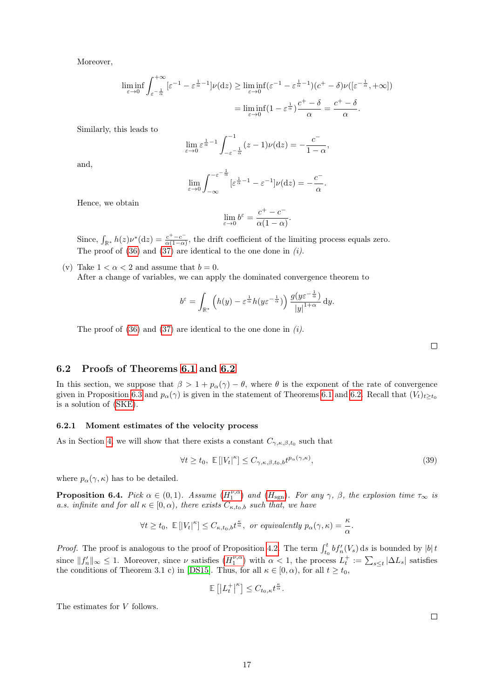Moreover,

$$
\liminf_{\varepsilon \to 0} \int_{\varepsilon^{-\frac{1}{\alpha}}}^{+\infty} \left[\varepsilon^{-1} - \varepsilon^{\frac{1}{\alpha}-1}\right] \nu(\mathrm{d}z) \geq \liminf_{\varepsilon \to 0} \left(\varepsilon^{-1} - \varepsilon^{\frac{1}{\alpha}-1}\right) \left(\varepsilon^{+} - \delta\right) \nu\left(\left[\varepsilon^{-\frac{1}{\alpha}}, +\infty\right]\right)
$$
\n
$$
= \liminf_{\varepsilon \to 0} \left(1 - \varepsilon^{\frac{1}{\alpha}}\right) \frac{c^{+} - \delta}{\alpha} = \frac{c^{+} - \delta}{\alpha}.
$$

Similarly, this leads to

$$
\lim_{\varepsilon \to 0} \varepsilon^{\frac{1}{\alpha} - 1} \int_{-\varepsilon^{-\frac{1}{\alpha}}}^{-1} (z - 1) \nu(\mathrm{d}z) = -\frac{c^{-}}{1 - \alpha}
$$

,

.

and,

$$
\lim_{\varepsilon \to 0} \int_{-\infty}^{-\varepsilon^{-\frac{1}{\alpha}}}[{\varepsilon}^{\frac{1}{\alpha}-1} - {\varepsilon}^{-1}] \nu(\mathrm{d}z) = -\frac{c^-}{\alpha}
$$

Hence, we obtain

$$
\lim_{\varepsilon \to 0} b^{\varepsilon} = \frac{c^+ - c^-}{\alpha (1 - \alpha)}.
$$

Since,  $\int_{\mathbb{R}^*} h(z) \nu^*(dz) = \frac{c^+ - c^-}{\alpha(1 - \alpha)}$  $\frac{c^+ - c}{\alpha(1-\alpha)}$ , the drift coefficient of the limiting process equals zero. The proof of  $(36)$  and  $(37)$  are identical to the one done in  $(i)$ .

(v) Take  $1 < \alpha < 2$  and assume that  $b = 0$ . After a change of variables, we can apply the dominated convergence theorem to

$$
b^{\varepsilon} = \int_{\mathbb{R}^*} \left( h(y) - \varepsilon^{\frac{1}{\alpha}} h(y \varepsilon^{-\frac{1}{\alpha}}) \right) \frac{g(y \varepsilon^{-\frac{1}{\alpha}})}{|y|^{1+\alpha}} dy.
$$

The proof of  $(36)$  and  $(37)$  are identical to the one done in  $(i)$ .

 $\Box$ 

### 6.2 Proofs of Theorems [6.1](#page-12-0) and [6.2](#page-13-0)

In this section, we suppose that  $\beta > 1 + p_{\alpha}(\gamma) - \theta$ , where  $\theta$  is the exponent of the rate of convergence given in Proposition [6.3](#page-13-1) and  $p_{\alpha}(\gamma)$  is given in the statement of Theorems [6.1](#page-12-0) and [6.2.](#page-13-0) Recall that  $(V_t)_{t>t_0}$ is a solution of [\(SKE\)](#page-2-4).

#### <span id="page-16-1"></span>6.2.1 Moment estimates of the velocity process

As in Section [4,](#page-3-0) we will show that there exists a constant  $C_{\gamma,\kappa,\beta,t_0}$  such that

$$
\forall t \ge t_0, \ \mathbb{E}\left[|V_t|^{\kappa}\right] \le C_{\gamma,\kappa,\beta,t_0,b} t^{p_{\alpha}(\gamma,\kappa)},\tag{39}
$$

where  $p_{\alpha}(\gamma, \kappa)$  has to be detailed.

**Proposition 6.4.** Pick  $\alpha \in (0,1)$ . Assume  $(H_1^{\nu,\alpha})$  $(H_1^{\nu,\alpha})$  $(H_1^{\nu,\alpha})$  and  $(H_{sgn})$ . For any  $\gamma$ ,  $\beta$ , the explosion time  $\tau_{\infty}$  is a.s. infinite and for all  $\kappa \in [0, \alpha)$ , there exists  $C_{\kappa, t_0, b}$  such that, we have

$$
\forall t \ge t_0, \ \mathbb{E}\left[|V_t|^{\kappa}\right] \le C_{\kappa, t_0, b} t^{\frac{\kappa}{\alpha}}, \ \text{or equivalently } p_{\alpha}(\gamma, \kappa) = \frac{\kappa}{\alpha}.
$$

*Proof.* The proof is analogous to the proof of Proposition [4.2.](#page-3-6) The term  $\int_{t_0}^t bf'_n(V_s) ds$  is bounded by  $|b|t$ since  $||f_n'||_{\infty} \leq 1$ . Moreover, since  $\nu$  satisfies  $(H_1^{\nu,\alpha})$  $(H_1^{\nu,\alpha})$  $(H_1^{\nu,\alpha})$  with  $\alpha < 1$ , the process  $L_t^+ := \sum_{s \leq t} |\Delta L_s|$  satisfies the conditions of Theorem 3.1 c) in [\[DS15\]](#page-24-7). Thus, for all  $\kappa \in [0, \alpha)$ , for all  $t \ge t_0$ ,

$$
\mathbb{E}\left[\left|L_t^+\right|^{\kappa}\right] \leq C_{t_0,\kappa} t^{\frac{\kappa}{\alpha}}.
$$

<span id="page-16-0"></span>The estimates for V follows.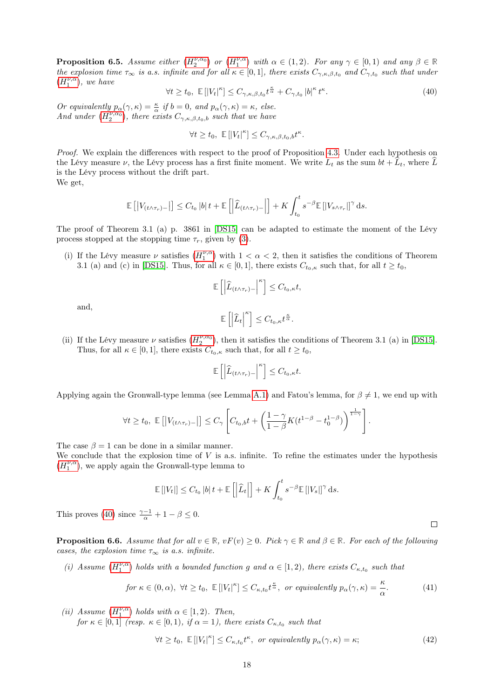**Proposition 6.5.** Assume either  $(H_2^{\nu,\alpha_0})$  $(H_2^{\nu,\alpha_0})$  $(H_2^{\nu,\alpha_0})$  or  $(H_1^{\nu,\alpha})$  with  $\alpha \in (1,2)$ . For any  $\gamma \in [0,1)$  and any  $\beta \in \mathbb{R}$ the explosion time  $\tau_{\infty}$  is a.s. infinite and for all  $\kappa \in [0,1]$ , there exists  $C_{\gamma,\kappa,\beta,t_0}$  and  $C_{\gamma,t_0}$  such that under  $(H_1^{\nu,\alpha})$  $(H_1^{\nu,\alpha})$  $(H_1^{\nu,\alpha})$ , we have

<span id="page-17-0"></span>
$$
\forall t \ge t_0, \mathbb{E} \left[ \left| V_t \right|^{\kappa} \right] \le C_{\gamma,\kappa,\beta,t_0} t^{\frac{\kappa}{\alpha}} + C_{\gamma,t_0} \left| b \right|^{\kappa} t^{\kappa}.
$$
\n
$$
\tag{40}
$$

Or equivalently  $p_{\alpha}(\gamma, \kappa) = \frac{\kappa}{\alpha}$  if  $b = 0$ , and  $p_{\alpha}(\gamma, \kappa) = \kappa$ , else. And under  $(H_2^{\nu,\alpha_0})$  $(H_2^{\nu,\alpha_0})$  $(H_2^{\nu,\alpha_0})$ , there exists  $C_{\gamma,\kappa,\beta,t_0,b}$  such that we have

$$
\forall t \ge t_0, \ \mathbb{E}\left[|V_t|^{\kappa}\right] \le C_{\gamma,\kappa,\beta,t_0,b} t^{\kappa}.
$$

Proof. We explain the differences with respect to the proof of Proposition [4.3.](#page-4-2) Under each hypothesis on the Lévy measure  $\nu$ , the Lévy process has a first finite moment. We write  $L_t$  as the sum  $bt + L_t$ , where L is the Lévy process without the drift part. We get,

$$
\mathbb{E}\left[\left|V_{(t\wedge\tau_r)-}\right|\right] \leq C_{t_0} \left|b\right| t + \mathbb{E}\left[\left|\widehat{L}_{(t\wedge\tau_r)-}\right|\right] + K \int_{t_0}^t s^{-\beta} \mathbb{E}\left[\left|V_{s\wedge\tau_r}\right|\right]^\gamma \mathrm{d}s.
$$

The proof of Theorem 3.1 (a) p. 3861 in [\[DS15\]](#page-24-7) can be adapted to estimate the moment of the Lévy process stopped at the stopping time  $\tau_r$ , given by [\(3\)](#page-3-4).

(i) If the Lévy measure  $\nu$  satisfies  $(H_1^{\nu,\alpha})$  $(H_1^{\nu,\alpha})$  $(H_1^{\nu,\alpha})$  with  $1 < \alpha < 2$ , then it satisfies the conditions of Theorem 3.1 (a) and (c) in [\[DS15\]](#page-24-7). Thus, for all  $\kappa \in [0,1]$ , there exists  $C_{t_0,\kappa}$  such that, for all  $t \ge t_0$ ,

$$
\mathbb{E}\left[\left|\widehat{L}_{(t\wedge\tau_r)-}\right|^{\kappa}\right] \leq C_{t_0,\kappa}t,
$$

and,

$$
\mathbb{E}\left[\left|\widehat{L}_t\right|^{\kappa}\right] \leq C_{t_0,\kappa} t^{\frac{\kappa}{\alpha}}.
$$

(ii) If the Lévy measure  $\nu$  satisfies  $(H_2^{\nu,\alpha_0})$  $(H_2^{\nu,\alpha_0})$  $(H_2^{\nu,\alpha_0})$ , then it satisfies the conditions of Theorem 3.1 (a) in [\[DS15\]](#page-24-7). Thus, for all  $\kappa \in [0, 1]$ , there exists  $C_{t_0, \kappa}$  such that, for all  $t \geq t_0$ ,

$$
\mathbb{E}\left[\left|\widehat{L}_{(t\wedge\tau_r)-}\right|^{\kappa}\right] \leq C_{t_0,\kappa}t.
$$

Applying again the Gronwall-type lemma (see Lemma [A.1\)](#page-21-0) and Fatou's lemma, for  $\beta \neq 1$ , we end up with

$$
\forall t \geq t_0, \ \mathbb{E}\left[\left|V_{(t \wedge \tau_r)}\right| \right] \leq C_{\gamma} \left[C_{t_0, b}t + \left(\frac{1-\gamma}{1-\beta}K(t^{1-\beta}-t_0^{1-\beta})\right)^{\frac{1}{1-\gamma}}\right].
$$

The case  $\beta = 1$  can be done in a similar manner.

We conclude that the explosion time of  $V$  is a.s. infinite. To refine the estimates under the hypothesis  $(H_1^{\nu,\alpha})$  $(H_1^{\nu,\alpha})$  $(H_1^{\nu,\alpha})$ , we apply again the Gronwall-type lemma to

$$
\mathbb{E}\left[|V_t|\right] \leq C_{t_0} \, |b| \, t + \mathbb{E}\left[\left|\widehat{L}_t\right|\right] + K \int_{t_0}^t s^{-\beta} \mathbb{E}\left[|V_s|\right]^\gamma \mathrm{d}s.
$$

This proves [\(40\)](#page-17-0) since  $\frac{\gamma - 1}{\alpha} + 1 - \beta \le 0$ .

**Proposition 6.6.** Assume that for all  $v \in \mathbb{R}$ ,  $vF(v) \ge 0$ . Pick  $\gamma \in \mathbb{R}$  and  $\beta \in \mathbb{R}$ . For each of the following cases, the explosion time  $\tau_{\infty}$  is a.s. infinite.

(i) Assume  $(H_1^{\nu,\alpha})$  $(H_1^{\nu,\alpha})$  $(H_1^{\nu,\alpha})$  holds with a bounded function g and  $\alpha \in [1,2)$ , there exists  $C_{\kappa,t_0}$  such that

<span id="page-17-1"></span>for 
$$
\kappa \in (0, \alpha)
$$
,  $\forall t \ge t_0$ ,  $\mathbb{E}[|V_t|^{\kappa}] \le C_{\kappa, t_0} t^{\frac{\kappa}{\alpha}}$ , or equivalently  $p_{\alpha}(\gamma, \kappa) = \frac{\kappa}{\alpha}$ . (41)

(ii) Assume  $(H_1^{\nu,\alpha})$  $(H_1^{\nu,\alpha})$  $(H_1^{\nu,\alpha})$  holds with  $\alpha \in [1,2)$ . Then,

for  $\kappa \in [0,1]$  (resp.  $\kappa \in [0,1)$ , if  $\alpha = 1$ ), there exists  $C_{\kappa,t_0}$  such that

<span id="page-17-2"></span>
$$
\forall t \ge t_0, \ \mathbb{E}\left[|V_t|^{\kappa}\right] \le C_{\kappa, t_0} t^{\kappa}, \ \text{or equivalently } p_{\alpha}(\gamma, \kappa) = \kappa; \tag{42}
$$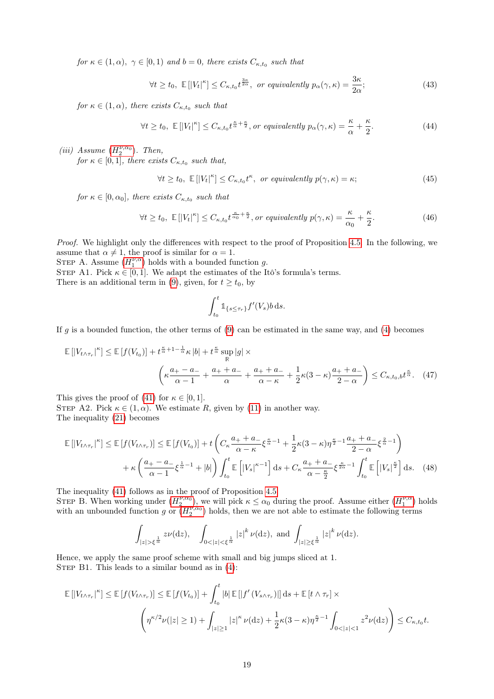for  $\kappa \in (1, \alpha)$ ,  $\gamma \in [0, 1)$  and  $b = 0$ , there exists  $C_{\kappa, t_0}$  such that

<span id="page-18-1"></span>
$$
\forall t \ge t_0, \ \mathbb{E}\left[|V_t|^{\kappa}\right] \le C_{\kappa, t_0} t^{\frac{3\kappa}{2\alpha}}, \ \text{or equivalently } p_\alpha(\gamma, \kappa) = \frac{3\kappa}{2\alpha};\tag{43}
$$

for  $\kappa \in (1, \alpha)$ , there exists  $C_{\kappa,t_0}$  such that

<span id="page-18-2"></span>
$$
\forall t \ge t_0, \ \mathbb{E}\left[\left|V_t\right|^{\kappa}\right] \le C_{\kappa, t_0} t^{\frac{\kappa}{\alpha} + \frac{\kappa}{2}}, \text{ or equivalently } p_{\alpha}(\gamma, \kappa) = \frac{\kappa}{\alpha} + \frac{\kappa}{2}.
$$
 (44)

(iii) Assume  $(H_2^{\nu,\alpha_0})$  $(H_2^{\nu,\alpha_0})$  $(H_2^{\nu,\alpha_0})$ . Then, for  $\kappa \in [0,1]$ , there exists  $C_{\kappa,t_0}$  such that,

<span id="page-18-0"></span>
$$
\forall t \ge t_0, \ \mathbb{E}\left[|V_t|^{\kappa}\right] \le C_{\kappa, t_0} t^{\kappa}, \ \text{or equivalently } p(\gamma, \kappa) = \kappa; \tag{45}
$$

for  $\kappa \in [0, \alpha_0]$ , there exists  $C_{\kappa,t_0}$  such that

<span id="page-18-3"></span>
$$
\forall t \ge t_0, \ \mathbb{E}\left[|V_t|^{\kappa}\right] \le C_{\kappa, t_0} t^{\frac{\kappa}{\alpha_0} + \frac{\kappa}{2}}, or \ equivalently \ p(\gamma, \kappa) = \frac{\kappa}{\alpha_0} + \frac{\kappa}{2}.
$$
 (46)

Proof. We highlight only the differences with respect to the proof of Proposition [4.5.](#page-5-0) In the following, we assume that  $\alpha \neq 1$ , the proof is similar for  $\alpha = 1$ .

STEP A. Assume  $(H_1^{\nu,\alpha})$  $(H_1^{\nu,\alpha})$  $(H_1^{\nu,\alpha})$  holds with a bounded function g.

STEP A1. Pick  $\kappa \in [0,1]$ . We adapt the estimates of the Itô's formula's terms. There is an additional term in [\(9\)](#page-5-5), given, for  $t \ge t_0$ , by

$$
\int_{t_0}^t \mathbb{1}_{\{s \le \tau_r\}} f'(V_s) b \, \mathrm{d} s.
$$

If g is a bounded function, the other terms of  $(9)$  can be estimated in the same way, and  $(4)$  becomes

$$
\mathbb{E}\left[|V_{t\wedge\tau_r}|^{\kappa}\right] \leq \mathbb{E}\left[f(V_{t_0})\right] + t^{\frac{\kappa}{\alpha}+1-\frac{1}{\alpha}}\kappa\left|b\right| + t^{\frac{\kappa}{\alpha}}\sup_{\mathbb{R}}\left|g\right| \times \left(\kappa\frac{a_+-a_-}{\alpha-1} + \frac{a_++a_-}{\alpha} + \frac{a_++a_-}{\alpha-\kappa} + \frac{1}{2}\kappa(3-\kappa)\frac{a_++a_-}{2-\alpha}\right) \leq C_{\kappa,t_0,b}t^{\frac{\kappa}{\alpha}}.\tag{47}
$$

This gives the proof of [\(41\)](#page-17-1) for  $\kappa \in [0,1]$ .

STEP A2. Pick  $\kappa \in (1, \alpha)$ . We estimate R, given by [\(11\)](#page-5-3) in another way. The inequality [\(21\)](#page-7-3) becomes

$$
\mathbb{E}\left[|V_{t\wedge\tau_{r}}|^{k}\right] \leq \mathbb{E}\left[f(V_{t\wedge\tau_{r}})\right] \leq \mathbb{E}\left[f(V_{t_{0}})\right] + t\left(C_{\kappa}\frac{a_{+}+a_{-}}{\alpha-\kappa}\xi^{\frac{\kappa}{\alpha}-1} + \frac{1}{2}\kappa(3-\kappa)\eta^{\frac{\kappa}{2}-1}\frac{a_{+}+a_{-}}{2-\alpha}\xi^{\frac{2}{\alpha}-1}\right) + \kappa\left(\frac{a_{+}-a_{-}}{\alpha-1}\xi^{\frac{1}{\alpha}-1} + |b|\right)\int_{t_{0}}^{t}\mathbb{E}\left[|V_{s}|^{\kappa-1}\right]ds + C_{\kappa}\frac{a_{+}+a_{-}}{\alpha-\frac{\kappa}{2}}\xi^{\frac{\kappa}{2\alpha}-1}\int_{t_{0}}^{t}\mathbb{E}\left[|V_{s}|^{\frac{\kappa}{2}}\right]ds. \tag{48}
$$

The inequality [\(41\)](#page-17-1) follows as in the proof of Proposition [4.5.](#page-5-0) STEP B. When working under  $(H_2^{\nu,\alpha_0})$  $(H_2^{\nu,\alpha_0})$  $(H_2^{\nu,\alpha_0})$ , we will pick  $\kappa \leq \alpha_0$  during the proof. Assume either  $(H_1^{\nu,\alpha})$  holds with an unbounded function g or  $(H_2^{\nu,\alpha_0})$  $(H_2^{\nu,\alpha_0})$  $(H_2^{\nu,\alpha_0})$  holds, then we are not able to estimate the following terms

$$
\int_{|z|>\xi^{\frac{1}{\alpha}}} z\nu(\mathrm{d}z), \quad \int_{0<|z|<\xi^{\frac{1}{\alpha}}}|z|^{k}\,\nu(\mathrm{d}z), \text{ and } \int_{|z|\geq \xi^{\frac{1}{\alpha}}}|z|^{k}\,\nu(\mathrm{d}z).
$$

Hence, we apply the same proof scheme with small and big jumps sliced at 1. STEP B1. This leads to a similar bound as in  $(4)$ :

$$
\mathbb{E}[|V_{t\wedge\tau_r}|^{\kappa}] \leq \mathbb{E}[f(V_{t\wedge\tau_r})] \leq \mathbb{E}[f(V_{t_0})] + \int_{t_0}^t |b| \mathbb{E}[|f'(V_{s\wedge\tau_r})|] ds + \mathbb{E}[t\wedge\tau_r] \times
$$

$$
\left(\eta^{\kappa/2}\nu(|z|\geq 1) + \int_{|z|\geq 1} |z|^{\kappa}\nu(\mathrm{d}z) + \frac{1}{2}\kappa(3-\kappa)\eta^{\frac{\kappa}{2}-1}\int_{0<|z|<1} z^2\nu(\mathrm{d}z)\right) \leq C_{\kappa,t_0}t.
$$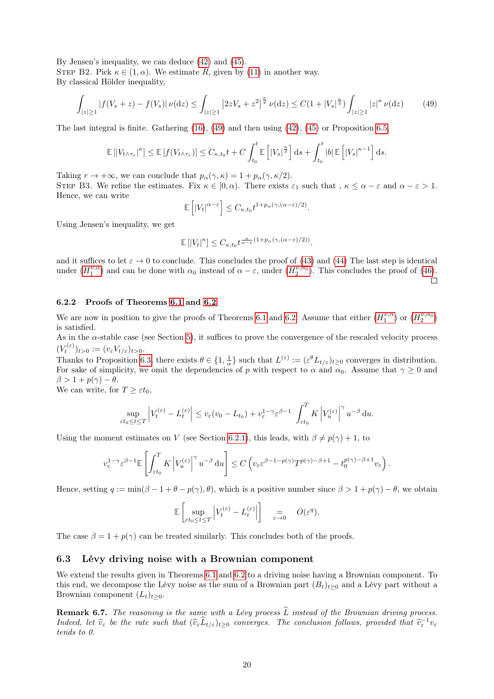By Jensen's inequality, we can deduce [\(42\)](#page-17-2) and [\(45\)](#page-18-0). STEP B2. Pick  $\kappa \in (1, \alpha)$ . We estimate R, given by [\(11\)](#page-5-3) in another way. By classical Hölder inequality,

<span id="page-19-0"></span>
$$
\int_{|z|\geq 1} |f(V_s+z) - f(V_s)| \, \nu(\mathrm{d}z) \leq \int_{|z|\geq 1} \left| 2zV_s + z^2 \right|^{\frac{\kappa}{2}} \nu(\mathrm{d}z) \leq C(1+|V_s|^{\frac{\kappa}{2}}) \int_{|z|\geq 1} |z|^{\kappa} \, \nu(\mathrm{d}z) \tag{49}
$$

The last integral is finite. Gathering [\(16\)](#page-6-2), [\(49\)](#page-19-0) and then using [\(42\)](#page-17-2), [\(45\)](#page-18-0) or Proposition [6.5,](#page-16-0)

$$
\mathbb{E}\left[\left|V_{t\wedge\tau_r}\right|^{\kappa}\right] \leq \mathbb{E}\left[f(V_{t\wedge\tau_r})\right] \leq C_{\kappa,t_0}t + C\int_{t_0}^t \mathbb{E}\left[\left|V_s\right|^{\frac{\kappa}{2}}\right]ds + \int_{t_0}^t \left|b\right| \mathbb{E}\left[\left|V_s\right|^{\kappa-1}\right]ds.
$$

Taking  $r \to +\infty$ , we can conclude that  $p_{\alpha}(\gamma, \kappa) = 1 + p_{\alpha}(\gamma, \kappa/2)$ .

STEP B3. We refine the estimates. Fix  $\kappa \in [0, \alpha)$ . There exists  $\varepsilon_1$  such that  $\kappa \leq \alpha - \varepsilon$  and  $\alpha - \varepsilon > 1$ . Hence, we can write

$$
\mathbb{E}\left[\left|V_t\right|^{\alpha-\varepsilon}\right] \leq C_{\kappa,t_0} t^{1+p_\alpha(\gamma,(\alpha-\varepsilon)/2)}.
$$

Using Jensen's inequality, we get

$$
\mathbb{E}\left[\left|V_t\right|^{\kappa}\right] \leq C_{\kappa,t_0} t^{\frac{\kappa}{\alpha-\varepsilon}\left(1+p_\alpha(\gamma,(\alpha-\varepsilon)/2)\right)}.
$$

and it suffices to let  $\varepsilon \to 0$  to conclude. This concludes the proof of [\(43\)](#page-18-1) and [\(44\)](#page-18-2) The last step is identical under  $(H_1^{\nu,\alpha})$  $(H_1^{\nu,\alpha})$  $(H_1^{\nu,\alpha})$  and can be done with  $\alpha_0$  instead of  $\alpha-\varepsilon$ , under  $(H_2^{\nu,\alpha_0})$ . This concludes the proof of [\(46\)](#page-18-3).  $\Box$ 

#### 6.2.2 Proofs of Theorems [6.1](#page-12-0) and [6.2](#page-13-0)

We are now in position to give the proofs of Theorems [6.1](#page-12-0) and [6.2.](#page-13-0) Assume that either  $(H_1^{\nu,\alpha})$  $(H_1^{\nu,\alpha})$  $(H_1^{\nu,\alpha})$  or  $(H_2^{\nu,\alpha_0})$ is satisfied.

As in the  $\alpha$ -stable case (see Section [5\)](#page-8-0), it suffices to prove the convergence of the rescaled velocity process  $(V_t^{(\varepsilon)})_{t>0} := (v_{\varepsilon} V_{t/\varepsilon})_{t>0}.$ 

Thanks to Proposition [6.3,](#page-13-1) there exists  $\theta \in \{1, \frac{1}{\alpha}\}\$  such that  $L^{(\varepsilon)} := (\varepsilon^{\theta} L_{t/\varepsilon})_{t \geq 0}$  converges in distribution. For sake of simplicity, we omit the dependencies of p with respect to  $\alpha$  and  $\alpha_0$ . Assume that  $\gamma \ge 0$  and  $\beta > 1 + p(\gamma) - \theta$ .

We can write, for  $T \geq \varepsilon t_0$ ,

$$
\sup_{\varepsilon t_0 \le t \le T} \left| V_t^{(\varepsilon)} - L_t^{(\varepsilon)} \right| \le v_\varepsilon (v_0 - L_{t_0}) + v_\varepsilon^{1-\gamma} \varepsilon^{\beta-1} \int_{\varepsilon t_0}^T K \left| V_u^{(\varepsilon)} \right|^\gamma u^{-\beta} du.
$$

Using the moment estimates on V (see Section [6.2.1\)](#page-16-1), this leads, with  $\beta \neq p(\gamma) + 1$ , to

$$
v_{\varepsilon}^{1-\gamma} \varepsilon^{\beta-1} \mathbb{E}\left[\int_{\varepsilon t_0}^T K \left|V_u^{(\varepsilon)}\right|^{\gamma} u^{-\beta} du\right] \le C \left(v_{\varepsilon} \varepsilon^{\beta-1-p(\gamma)} T^{p(\gamma)-\beta+1} - t_0^{p(\gamma)-\beta+1} v_{\varepsilon}\right).
$$

Hence, setting  $q := \min(\beta - 1 + \theta - p(\gamma), \theta)$ , which is a positive number since  $\beta > 1 + p(\gamma) - \theta$ , we obtain

$$
\mathbb{E}\left[\sup_{\varepsilon t_0 \le t \le T} \left| V_t^{(\varepsilon)} - L_t^{(\varepsilon)} \right| \right] \quad = \quad O(\varepsilon^q).
$$

The case  $\beta = 1 + p(\gamma)$  can be treated similarly. This concludes both of the proofs.

#### <span id="page-19-1"></span>6.3 Lévy driving noise with a Brownian component

We extend the results given in Theorems [6.1](#page-12-0) and [6.2](#page-13-0) to a driving noise having a Brownian component. To this end, we decompose the Lévy noise as the sum of a Brownian part  $(B_t)_{t\geq0}$  and a Lévy part without a Brownian component  $(L_t)_{t>0}$ .

**Remark 6.7.** The reasoning is the same with a Lévy process  $\widehat{L}$  instead of the Brownian driving process. Indeed, let  $\widehat{v}_{\varepsilon}$  be the rate such that  $(\widehat{v}_{\varepsilon}\widehat{L}_{t/\varepsilon})_{t\geq0}$  converges. The conclusion follows, provided that  $\widehat{v}_{\varepsilon}^{-1}v_{\varepsilon}$ tends to 0.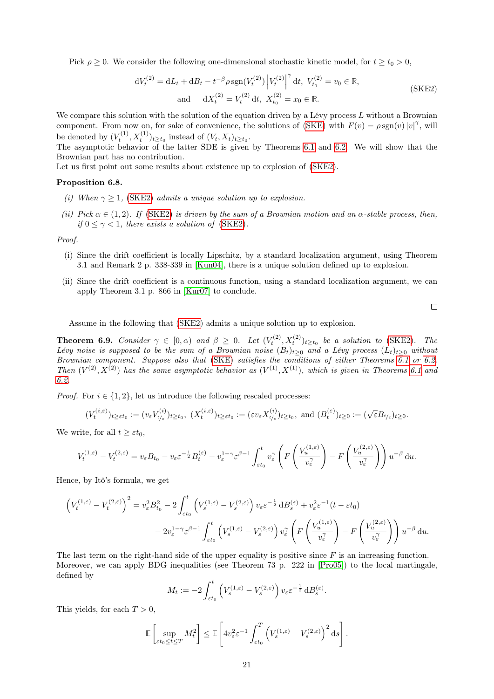Pick  $\rho \geq 0$ . We consider the following one-dimensional stochastic kinetic model, for  $t \geq t_0 > 0$ ,

$$
dV_t^{(2)} = dL_t + dB_t - t^{-\beta} \rho \operatorname{sgn}(V_t^{(2)}) \left| V_t^{(2)} \right|^{\gamma} dt, \ V_{t_0}^{(2)} = v_0 \in \mathbb{R},
$$
  
and 
$$
dX_t^{(2)} = V_t^{(2)} dt, \ X_{t_0}^{(2)} = x_0 \in \mathbb{R}.
$$
 (SKE2)

We compare this solution with the solution of the equation driven by a Lévy process  $L$  without a Brownian component. From now on, for sake of convenience, the solutions of  $(SKE)$  with  $F(v) = \rho sgn(v)|v|^\gamma$ , will be denoted by  $(V_t^{(1)}, X_t^{(1)})_{t \ge t_0}$  instead of  $(V_t, X_t)_{t \ge t_0}$ .

The asymptotic behavior of the latter SDE is given by Theorems [6.1](#page-12-0) and [6.2.](#page-13-0) We will show that the Brownian part has no contribution.

Let us first point out some results about existence up to explosion of  $(SKE2)$ .

#### Proposition 6.8.

- (i) When  $\gamma > 1$ , [\(SKE2\)](#page-20-0) admits a unique solution up to explosion.
- (ii) Pick  $\alpha \in (1, 2)$ . If [\(SKE2\)](#page-20-0) is driven by the sum of a Brownian motion and an  $\alpha$ -stable process, then, if  $0 \leq \gamma < 1$ , there exists a solution of [\(SKE2\)](#page-20-0).

Proof.

- (i) Since the drift coefficient is locally Lipschitz, by a standard localization argument, using Theorem 3.1 and Remark 2 p. 338-339 in [\[Kun04\]](#page-25-15), there is a unique solution defined up to explosion.
- (ii) Since the drift coefficient is a continuous function, using a standard localization argument, we can apply Theorem 3.1 p. 866 in [\[Kur07\]](#page-25-0) to conclude.

<span id="page-20-0"></span> $\Box$ 

Assume in the following that [\(SKE2\)](#page-20-0) admits a unique solution up to explosion.

**Theorem 6.9.** Consider  $\gamma \in [0, \alpha)$  and  $\beta \geq 0$ . Let  $(V_t^{(2)}, X_t^{(2)})_{t \geq t_0}$  be a solution to [\(SKE2\)](#page-20-0). The Lévy noise is supposed to be the sum of a Brownian noise  $(B_t)_{t\geq0}$  and a Lévy process  $(L_t)_{t\geq0}$  without Brownian component. Suppose also that [\(SKE\)](#page-2-4) satisfies the conditions of either Theorems [6.1](#page-12-0) or [6.2.](#page-13-0) Then  $(V^{(2)}, X^{(2)})$  has the same asymptotic behavior as  $(V^{(1)}, X^{(1)})$ , which is given in Theorems [6.1](#page-12-0) and [6.2.](#page-13-0)

*Proof.* For  $i \in \{1, 2\}$ , let us introduce the following rescaled processes:

$$
(V_t^{(i,\varepsilon)})_{t\geq \varepsilon t_0}:=(v_\varepsilon V_{t/\varepsilon}^{(i)})_{t\geq t_0},\ (X_t^{(i,\varepsilon)})_{t\geq \varepsilon t_0}:=(\varepsilon v_\varepsilon X_{t/\varepsilon}^{(i)})_{t\geq t_0},\text{ and }(B_t^{(\varepsilon)})_{t\geq 0}:=(\sqrt{\varepsilon}B_{t/\varepsilon})_{t\geq 0}.
$$

We write, for all  $t \geq \varepsilon t_0$ ,

$$
V_t^{(1,\varepsilon)} - V_t^{(2,\varepsilon)} = v_{\varepsilon} B_{t_0} - v_{\varepsilon} \varepsilon^{-\frac{1}{2}} B_t^{(\varepsilon)} - v_{\varepsilon}^{1-\gamma} \varepsilon^{\beta-1} \int_{\varepsilon t_0}^t v_{\varepsilon}^{\gamma} \left( F\left(\frac{V_u^{(1,\varepsilon)}}{v_{\varepsilon}^{\gamma}}\right) - F\left(\frac{V_u^{(2,\varepsilon)}}{v_{\varepsilon}^{\gamma}}\right) \right) u^{-\beta} du.
$$

Hence, by Itô's formula, we get

$$
\left(V_t^{(1,\varepsilon)} - V_t^{(2,\varepsilon)}\right)^2 = v_\varepsilon^2 B_{t_0}^2 - 2 \int_{\varepsilon t_0}^t \left(V_s^{(1,\varepsilon)} - V_s^{(2,\varepsilon)}\right) v_\varepsilon \varepsilon^{-\frac{1}{2}} \, \mathrm{d}B_s^{(\varepsilon)} + v_\varepsilon^2 \varepsilon^{-1} (t - \varepsilon t_0) - 2v_\varepsilon^{1-\gamma} \varepsilon^{\beta-1} \int_{\varepsilon t_0}^t \left(V_s^{(1,\varepsilon)} - V_s^{(2,\varepsilon)}\right) v_\varepsilon^\gamma \left(F\left(\frac{V_u^{(1,\varepsilon)}}{v_\varepsilon^\gamma}\right) - F\left(\frac{V_u^{(2,\varepsilon)}}{v_\varepsilon^\gamma}\right)\right) u^{-\beta} \, \mathrm{d}u.
$$

The last term on the right-hand side of the upper equality is positive since  $F$  is an increasing function. Moreover, we can apply BDG inequalities (see Theorem 73 p. 222 in [\[Pro05\]](#page-25-9)) to the local martingale, defined by

$$
M_t := -2 \int_{\varepsilon t_0}^t \left( V_s^{(1,\varepsilon)} - V_s^{(2,\varepsilon)} \right) v_\varepsilon \varepsilon^{-\frac{1}{2}} \, \mathrm{d}B_s^{(\varepsilon)}.
$$

This yields, for each  $T > 0$ ,

$$
\mathbb{E}\left[\sup_{\varepsilon t_0 \le t \le T} M_t^2\right] \le \mathbb{E}\left[4v_{\varepsilon}^2 \varepsilon^{-1} \int_{\varepsilon t_0}^T \left(V_s^{(1,\varepsilon)} - V_s^{(2,\varepsilon)}\right)^2 ds\right].
$$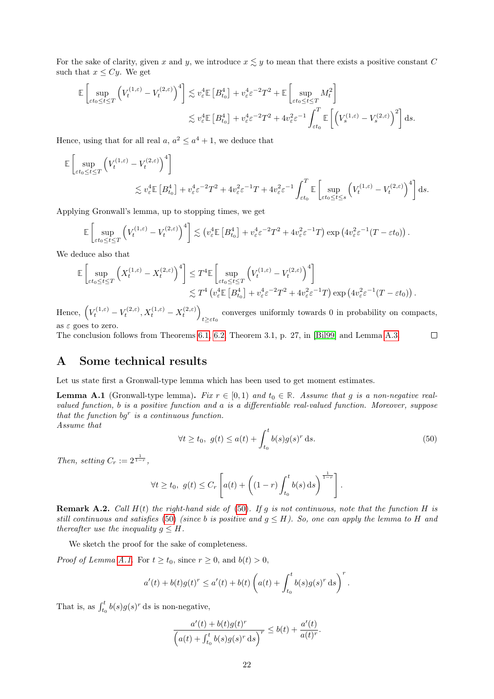For the sake of clarity, given x and y, we introduce  $x \leq y$  to mean that there exists a positive constant C such that  $x \le Cy$ . We get

$$
\mathbb{E}\left[\sup_{\varepsilon t_0 \le t \le T} \left(V_t^{(1,\varepsilon)} - V_t^{(2,\varepsilon)}\right)^4\right] \lesssim v_\varepsilon^4 \mathbb{E}\left[B_{t_0}^4\right] + v_\varepsilon^4 \varepsilon^{-2} T^2 + \mathbb{E}\left[\sup_{\varepsilon t_0 \le t \le T} M_t^2\right] \lesssim v_\varepsilon^4 \mathbb{E}\left[B_{t_0}^4\right] + v_\varepsilon^4 \varepsilon^{-2} T^2 + 4v_\varepsilon^2 \varepsilon^{-1} \int_{\varepsilon t_0}^T \mathbb{E}\left[\left(V_s^{(1,\varepsilon)} - V_s^{(2,\varepsilon)}\right)^2\right] ds.
$$

Hence, using that for all real  $a, a^2 \le a^4 + 1$ , we deduce that

$$
\mathbb{E}\left[\sup_{\varepsilon t_0 \le t \le T} \left(V_t^{(1,\varepsilon)} - V_t^{(2,\varepsilon)}\right)^4\right]
$$
  
\$\lesssim v\_{\varepsilon}^4 \mathbb{E}\left[B\_{t\_0}^4\right] + v\_{\varepsilon}^4 \varepsilon^{-2} T^2 + 4v\_{\varepsilon}^2 \varepsilon^{-1} T + 4v\_{\varepsilon}^2 \varepsilon^{-1} \int\_{\varepsilon t\_0}^T \mathbb{E}\left[\sup\_{\varepsilon t\_0 \le t \le s} \left(V\_t^{(1,\varepsilon)} - V\_t^{(2,\varepsilon)}\right)^4\right] ds.\$

Applying Gronwall's lemma, up to stopping times, we get

$$
\mathbb{E}\left[\sup_{\varepsilon t_0\leq t\leq T}\left(V_t^{(1,\varepsilon)}-V_t^{(2,\varepsilon)}\right)^4\right] \lesssim \left(v_{\varepsilon}^4 \mathbb{E}\left[B_{t_0}^4\right]+v_{\varepsilon}^4 \varepsilon^{-2}T^2+4v_{\varepsilon}^2\varepsilon^{-1}T\right)\exp\left(4v_{\varepsilon}^2\varepsilon^{-1}(T-\varepsilon t_0)\right).
$$

We deduce also that

$$
\mathbb{E}\left[\sup_{\varepsilon t_0 \leq t \leq T} \left( X_t^{(1,\varepsilon)} - X_t^{(2,\varepsilon)} \right)^4 \right] \leq T^4 \mathbb{E}\left[\sup_{\varepsilon t_0 \leq t \leq T} \left( V_t^{(1,\varepsilon)} - V_t^{(2,\varepsilon)} \right)^4 \right] \n\lesssim T^4 \left( v_\varepsilon^4 \mathbb{E}\left[ B_{t_0}^4 \right] + v_\varepsilon^4 \varepsilon^{-2} T^2 + 4v_\varepsilon^2 \varepsilon^{-1} T \right) \exp\left( 4v_\varepsilon^2 \varepsilon^{-1} (T - \varepsilon t_0) \right).
$$

Hence,  $(V_t^{(1,\varepsilon)} - V_t^{(2,\varepsilon)}, X_t^{(1,\varepsilon)} - X_t^{(2,\varepsilon)})$ converges uniformly towards 0 in probability on compacts,  $t \geq \varepsilon t_0$ as  $\varepsilon$  goes to zero.

The conclusion follows from Theorems [6.1,](#page-12-0) [6.2,](#page-13-0) Theorem 3.1, p. 27, in [\[Bil99\]](#page-24-12) and Lemma [A.3.](#page-22-0)

# A Some technical results

Let us state first a Gronwall-type lemma which has been used to get moment estimates.

<span id="page-21-0"></span>**Lemma A.1** (Gronwall-type lemma). Fix  $r \in [0,1)$  and  $t_0 \in \mathbb{R}$ . Assume that g is a non-negative realvalued function, b is a positive function and a is a differentiable real-valued function. Moreover, suppose that the function  $bg^r$  is a continuous function. Assume that

<span id="page-21-1"></span>
$$
\forall t \ge t_0, \ g(t) \le a(t) + \int_{t_0}^t b(s)g(s)^r \, \mathrm{d}s. \tag{50}
$$

 $\Box$ 

Then, setting  $C_r := 2^{\frac{1}{1-r}}$ ,

$$
\forall t \ge t_0, \ g(t) \le C_r \left[ a(t) + \left( (1-r) \int_{t_0}^t b(s) \, ds \right)^{\frac{1}{1-r}} \right].
$$

**Remark A.2.** Call  $H(t)$  the right-hand side of [\(50\)](#page-21-1). If g is not continuous, note that the function  $H$  is still continuous and satisfies [\(50\)](#page-21-1) (since b is positive and  $g \leq H$ ). So, one can apply the lemma to H and thereafter use the inequality  $q \leq H$ .

We sketch the proof for the sake of completeness.

*Proof of Lemma [A.1.](#page-21-0)* For  $t \ge t_0$ , since  $r \ge 0$ , and  $b(t) > 0$ ,

$$
a'(t) + b(t)g(t)^r \le a'(t) + b(t)\left(a(t) + \int_{t_0}^t b(s)g(s)^r ds\right)^r.
$$

That is, as  $\int_{t_0}^t b(s)g(s)^r ds$  is non-negative,

$$
\frac{a'(t) + b(t)g(t)^r}{\left(a(t) + \int_{t_0}^t b(s)g(s)^r \,ds\right)^r} \le b(t) + \frac{a'(t)}{a(t)^r}.
$$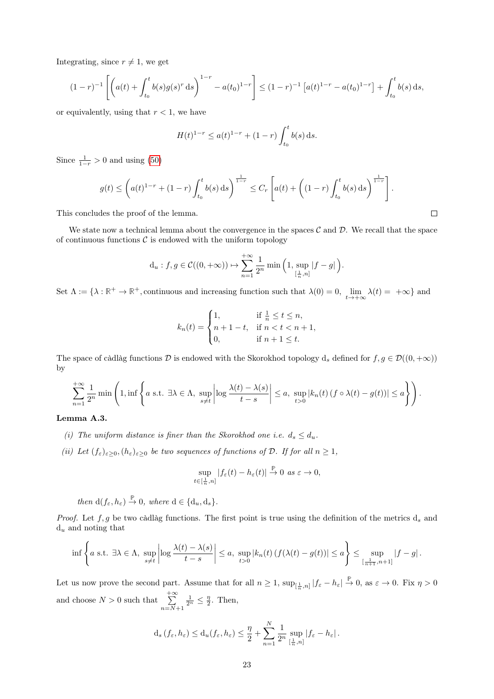Integrating, since  $r \neq 1$ , we get

$$
(1-r)^{-1}\left[\left(a(t)+\int_{t_0}^t b(s)g(s)^r ds\right)^{1-r}-a(t_0)^{1-r}\right]\leq (1-r)^{-1}\left[a(t)^{1-r}-a(t_0)^{1-r}\right]+\int_{t_0}^t b(s) ds,
$$

or equivalently, using that  $r < 1$ , we have

$$
H(t)^{1-r} \le a(t)^{1-r} + (1-r) \int_{t_0}^t b(s) \, ds.
$$

Since  $\frac{1}{1-r} > 0$  and using [\(50\)](#page-21-1)

$$
g(t) \le \left( a(t)^{1-r} + (1-r) \int_{t_0}^t b(s) \, ds \right)^{\frac{1}{1-r}} \le C_r \left[ a(t) + \left( (1-r) \int_{t_0}^t b(s) \, ds \right)^{\frac{1}{1-r}} \right].
$$

This concludes the proof of the lemma.

We state now a technical lemma about the convergence in the spaces  $\mathcal C$  and  $\mathcal D$ . We recall that the space of continuous functions  $\mathcal C$  is endowed with the uniform topology

$$
d_u: f, g \in \mathcal{C}((0, +\infty)) \mapsto \sum_{n=1}^{+\infty} \frac{1}{2^n} \min\left(1, \sup_{[\frac{1}{n}, n]} |f - g|\right).
$$

Set  $\Lambda := \{\lambda : \mathbb{R}^+ \to \mathbb{R}^+,$  continuous and increasing function such that  $\lambda(0) = 0$ ,  $\lim_{t \to +\infty} \lambda(t) = +\infty\}$  and

$$
k_n(t) = \begin{cases} 1, & \text{if } \frac{1}{n} \le t \le n, \\ n+1-t, & \text{if } n < t < n+1, \\ 0, & \text{if } n+1 \le t. \end{cases}
$$

The space of càdlàg functions  $D$  is endowed with the Skorokhod topology  $d_s$  defined for  $f, g \in \mathcal{D}((0, +\infty))$ by

$$
\sum_{n=1}^{+\infty} \frac{1}{2^n} \min\left(1, \inf\left\{a \text{ s.t. } \exists \lambda \in \Lambda, \sup_{s \neq t} \left| \log \frac{\lambda(t) - \lambda(s)}{t - s} \right| \leq a, \sup_{t > 0} |k_n(t) (f \circ \lambda(t) - g(t))| \leq a \right\} \right).
$$

#### <span id="page-22-0"></span>Lemma A.3.

- (i) The uniform distance is finer than the Skorokhod one i.e.  $d_s \leq d_u$ .
- (ii) Let  $(f_{\varepsilon})_{\varepsilon\geq0}$ ,  $(h_{\varepsilon})_{\varepsilon\geq0}$  be two sequences of functions of  $\mathcal D$ . If for all  $n\geq1$ ,

$$
\sup_{t\in[\frac{1}{n},n]}|f_{\varepsilon}(t)-h_{\varepsilon}(t)|\stackrel{\mathbb{P}}{\to}0\ \ as\ \varepsilon\to 0,
$$

then  $d(f_{\varepsilon}, h_{\varepsilon}) \stackrel{\mathbb{P}}{\rightarrow} 0$ , where  $d \in \{d_u, d_s\}$ .

*Proof.* Let  $f, g$  be two càdlàg functions. The first point is true using the definition of the metrics  $d_s$  and  $d_u$  and noting that

$$
\inf \left\{ a \text{ s.t. } \exists \lambda \in \Lambda, \sup_{s \neq t} \left| \log \frac{\lambda(t) - \lambda(s)}{t - s} \right| \leq a, \sup_{t > 0} |k_n(t) \left( f(\lambda(t) - g(t)) \right) \leq a \right\} \leq \sup_{\left[\frac{1}{n+1}, n+1\right]} |f - g|.
$$

Let us now prove the second part. Assume that for all  $n \geq 1$ ,  $\sup_{[\frac{1}{n},n]} |f_{\varepsilon}-h_{\varepsilon}| \stackrel{\mathbb{P}}{\to} 0$ , as  $\varepsilon \to 0$ . Fix  $\eta > 0$ and choose  $N > 0$  such that  $\sum_{n=1}^{+\infty}$  $n=N+1$  $\frac{1}{2^n} \leq \frac{\eta}{2}$ . Then,

$$
d_s(f_\varepsilon, h_\varepsilon) \le d_u(f_\varepsilon, h_\varepsilon) \le \frac{\eta}{2} + \sum_{n=1}^N \frac{1}{2^n} \sup_{[\frac{1}{n}, n]} |f_\varepsilon - h_\varepsilon|.
$$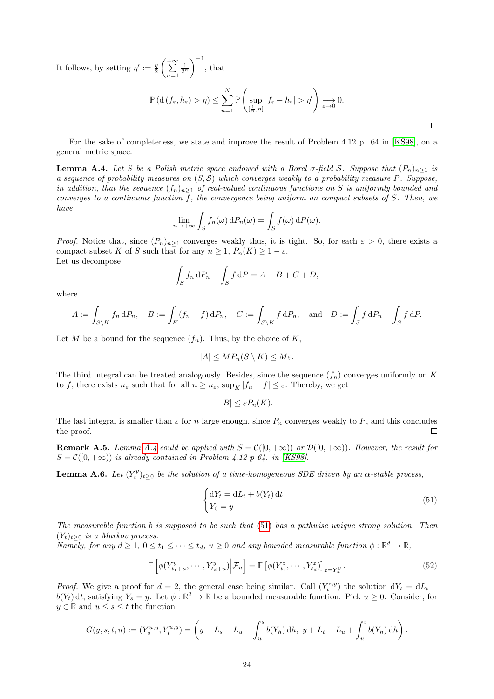It follows, by setting  $\eta' := \frac{\eta}{2}$  $\left(\frac{+\infty}{\sum}\right)$  $n=1$  $\frac{1}{2^n}$  $\Big)^{-1}$ , that

$$
\mathbb{P}\left(d\left(f_{\varepsilon}, h_{\varepsilon}\right) > \eta\right) \leq \sum_{n=1}^{N} \mathbb{P}\left(\sup_{\left[\frac{1}{n}, n\right]} |f_{\varepsilon} - h_{\varepsilon}| > \eta'\right) \underset{\varepsilon \to 0}{\longrightarrow} 0.
$$

For the sake of completeness, we state and improve the result of Problem 4.12 p. 64 in [\[KS98\]](#page-25-16), on a general metric space.

<span id="page-23-0"></span>**Lemma A.4.** Let S be a Polish metric space endowed with a Borel  $\sigma$ -field S. Suppose that  $(P_n)_{n\geq 1}$  is a sequence of probability measures on  $(S, \mathcal{S})$  which converges weakly to a probability measure P. Suppose, in addition, that the sequence  $(f_n)_{n\geq 1}$  of real-valued continuous functions on S is uniformly bounded and converges to a continuous function  $f$ , the convergence being uniform on compact subsets of  $S$ . Then, we have

$$
\lim_{n \to +\infty} \int_{S} f_n(\omega) dP_n(\omega) = \int_{S} f(\omega) dP(\omega).
$$

*Proof.* Notice that, since  $(P_n)_{n\geq 1}$  converges weakly thus, it is tight. So, for each  $\varepsilon > 0$ , there exists a compact subset K of S such that for any  $n \geq 1$ ,  $P_n(K) \geq 1 - \varepsilon$ . Let us decompose

$$
\int_{S} f_n \, \mathrm{d}P_n - \int_{S} f \, \mathrm{d}P = A + B + C + D,
$$

where

$$
A := \int_{S \setminus K} f_n \, dP_n, \quad B := \int_K (f_n - f) \, dP_n, \quad C := \int_{S \setminus K} f \, dP_n, \quad \text{and} \quad D := \int_S f \, dP_n - \int_S f \, dP.
$$

Let M be a bound for the sequence  $(f_n)$ . Thus, by the choice of K,

$$
|A| \le MP_n(S \setminus K) \le M\varepsilon.
$$

The third integral can be treated analogously. Besides, since the sequence  $(f_n)$  converges uniformly on K to f, there exists  $n_{\varepsilon}$  such that for all  $n \geq n_{\varepsilon}$ ,  $\sup_K |f_n - f| \leq \varepsilon$ . Thereby, we get

$$
|B| \le \varepsilon P_n(K).
$$

The last integral is smaller than  $\varepsilon$  for n large enough, since  $P_n$  converges weakly to P, and this concludes the proof.  $\Box$ 

**Remark A.5.** Lemma [A.4](#page-23-0) could be applied with  $S = \mathcal{C}([0, +\infty))$  or  $\mathcal{D}([0, +\infty))$ . However, the result for  $S = \mathcal{C}([0, +\infty))$  is already contained in Problem 4.12 p 64. in [\[KS98\]](#page-25-16).

<span id="page-23-1"></span>**Lemma A.6.** Let  $(Y_t^y)_{t\geq 0}$  be the solution of a time-homogeneous SDE driven by an  $\alpha$ -stable process,

<span id="page-23-2"></span>
$$
\begin{cases} dY_t = dL_t + b(Y_t) dt \\ Y_0 = y \end{cases}
$$
\n(51)

The measurable function b is supposed to be such that [\(51\)](#page-23-2) has a pathwise unique strong solution. Then  $(Y_t)_{t>0}$  is a Markov process.

Namely, for any  $d \geq 1$ ,  $0 \leq t_1 \leq \cdots \leq t_d$ ,  $u \geq 0$  and any bounded measurable function  $\phi : \mathbb{R}^d \to \mathbb{R}$ ,

$$
\mathbb{E}\left[\phi(Y_{t_1+u}^y,\cdots,Y_{t_d+u}^y)\Big|\mathcal{F}_u\right]=\mathbb{E}\left[\phi(Y_{t_1}^z,\cdots,Y_{t_d}^z)\right]_{z=Y_u^y}.\tag{52}
$$

*Proof.* We give a proof for  $d = 2$ , the general case being similar. Call  $(Y_t^{s,y})$  the solution  $dY_t = dL_t +$  $b(Y_t)$  dt, satisfying  $Y_s = y$ . Let  $\phi : \mathbb{R}^2 \to \mathbb{R}$  be a bounded measurable function. Pick  $u \geq 0$ . Consider, for  $y \in \mathbb{R}$  and  $u \leq s \leq t$  the function

$$
G(y, s, t, u) := (Y_s^{u, y}, Y_t^{u, y}) = \left(y + L_s - L_u + \int_u^s b(Y_h) \, dh, \ y + L_t - L_u + \int_u^t b(Y_h) \, dh\right).
$$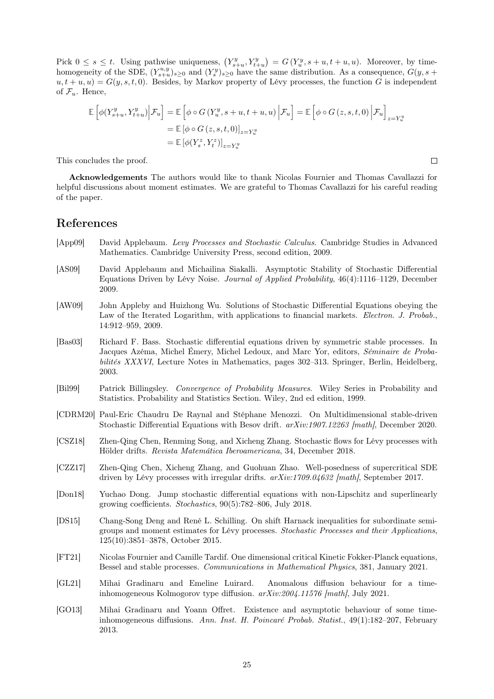Pick  $0 \leq s \leq t$ . Using pathwise uniqueness,  $(Y_{s+u}^y, Y_{t+u}^y) = G(Y_u^y, s+u, t+u, u)$ . Moreover, by timehomogeneity of the SDE,  $(Y_{s+u}^{u,y})_{s\geq 0}$  and  $(Y_s^y)_{s\geq 0}$  have the same distribution. As a consequence,  $G(y, s+1)$  $u, t + u, u$ ) =  $G(y, s, t, 0)$ . Besides, by Markov property of Lévy processes, the function G is independent of  $\mathcal{F}_u$ . Hence,

$$
\mathbb{E}\left[\phi(Y_{s+u}^{y}, Y_{t+u}^{y})\Big| \mathcal{F}_{u}\right] = \mathbb{E}\left[\phi \circ G\left(Y_{u}^{y}, s+u, t+u, u\right)\Big| \mathcal{F}_{u}\right] = \mathbb{E}\left[\phi \circ G\left(z, s, t, 0\right)\Big| \mathcal{F}_{u}\right]_{z=Y_{u}^{y}}
$$
\n
$$
= \mathbb{E}\left[\phi\circ G\left(z, s, t, 0\right)\right]_{z=Y_{u}^{y}}
$$
\n
$$
= \mathbb{E}\left[\phi(Y_{s}^{z}, Y_{t}^{z})\right]_{z=Y_{u}^{y}}
$$

 $\Box$ 

This concludes the proof.

Acknowledgements The authors would like to thank Nicolas Fournier and Thomas Cavallazzi for helpful discussions about moment estimates. We are grateful to Thomas Cavallazzi for his careful reading of the paper.

# References

- <span id="page-24-11"></span>[App09] David Applebaum. Levy Processes and Stochastic Calculus. Cambridge Studies in Advanced Mathematics. Cambridge University Press, second edition, 2009.
- <span id="page-24-2"></span>[AS09] David Applebaum and Michailina Siakalli. Asymptotic Stability of Stochastic Differential Equations Driven by Lévy Noise. Journal of Applied Probability, 46(4):1116–1129, December 2009.
- <span id="page-24-9"></span>[AW09] John Appleby and Huizhong Wu. Solutions of Stochastic Differential Equations obeying the Law of the Iterated Logarithm, with applications to financial markets. Electron. J. Probab., 14:912–959, 2009.
- <span id="page-24-1"></span>[Bas03] Richard F. Bass. Stochastic differential equations driven by symmetric stable processes. In Jacques Azéma, Michel Émery, Michel Ledoux, and Marc Yor, editors, Séminaire de Probabilités XXXVI, Lecture Notes in Mathematics, pages 302–313. Springer, Berlin, Heidelberg, 2003.
- <span id="page-24-12"></span>[Bil99] Patrick Billingsley. Convergence of Probability Measures. Wiley Series in Probability and Statistics. Probability and Statistics Section. Wiley, 2nd ed edition, 1999.
- <span id="page-24-8"></span>[CDRM20] Paul-Eric Chaudru De Raynal and Stéphane Menozzi. On Multidimensional stable-driven Stochastic Differential Equations with Besov drift.  $arXiv:1907.12263$  [math], December 2020.
- <span id="page-24-4"></span>[CSZ18] Zhen-Qing Chen, Renming Song, and Xicheng Zhang. Stochastic flows for Lévy processes with Hölder drifts. Revista Matemática Iberoamericana, 34, December 2018.
- <span id="page-24-5"></span>[CZZ17] Zhen-Qing Chen, Xicheng Zhang, and Guohuan Zhao. Well-posedness of supercritical SDE driven by Lévy processes with irregular drifts.  $arXiv:1709.04632$  [math], September 2017.
- <span id="page-24-3"></span>[Don18] Yuchao Dong. Jump stochastic differential equations with non-Lipschitz and superlinearly growing coefficients. Stochastics, 90(5):782–806, July 2018.
- <span id="page-24-7"></span>[DS15] Chang-Song Deng and René L. Schilling. On shift Harnack inequalities for subordinate semigroups and moment estimates for Lévy processes. Stochastic Processes and their Applications, 125(10):3851–3878, October 2015.
- <span id="page-24-6"></span>[FT21] Nicolas Fournier and Camille Tardif. One dimensional critical Kinetic Fokker-Planck equations, Bessel and stable processes. Communications in Mathematical Physics, 381, January 2021.
- <span id="page-24-0"></span>[GL21] Mihai Gradinaru and Emeline Luirard. Anomalous diffusion behaviour for a timeinhomogeneous Kolmogorov type diffusion.  $arXiv:2004.11576$  [math], July 2021.
- <span id="page-24-10"></span>[GO13] Mihai Gradinaru and Yoann Offret. Existence and asymptotic behaviour of some timeinhomogeneous diffusions. Ann. Inst. H. Poincaré Probab. Statist., 49(1):182–207, February 2013.